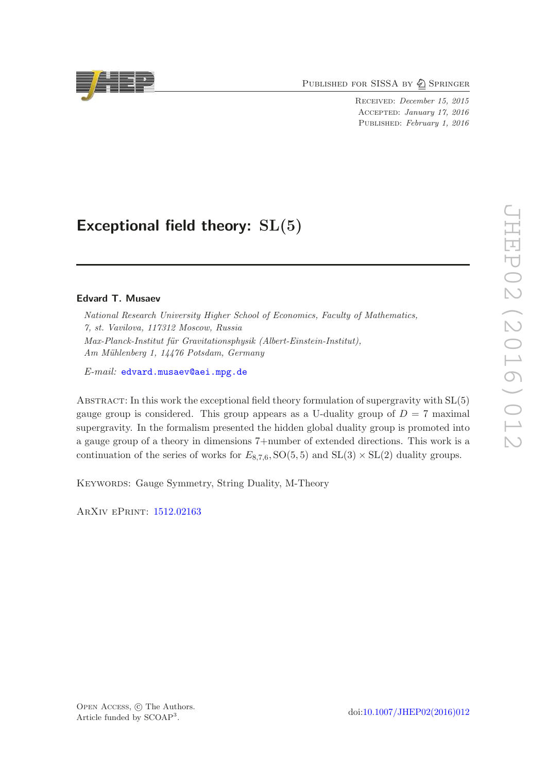PUBLISHED FOR SISSA BY 2 SPRINGER

Received: December 15, 2015 Accepted: January 17, 2016 PUBLISHED: February 1, 2016

# Exceptional field theory:  $SL(5)$

# Edvard T. Musaev

National Research University Higher School of Economics, Faculty of Mathematics, 7, st. Vavilova, 117312 Moscow, Russia Max-Planck-Institut für Gravitationsphysik (Albert-Einstein-Institut), Am Mühlenberg 1, 14476 Potsdam, Germany

 $E-mail:$  [edvard.musaev@aei.mpg.de](mailto:edvard.musaev@aei.mpg.de)

ABSTRACT: In this work the exceptional field theory formulation of supergravity with  $SL(5)$ gauge group is considered. This group appears as a U-duality group of  $D = 7$  maximal supergravity. In the formalism presented the hidden global duality group is promoted into a gauge group of a theory in dimensions 7+number of extended directions. This work is a continuation of the series of works for  $E_{8,7,6}$ ,  $SO(5,5)$  and  $SL(3) \times SL(2)$  duality groups.

Keywords: Gauge Symmetry, String Duality, M-Theory

ArXiv ePrint: [1512.02163](http://arxiv.org/abs/1512.02163)



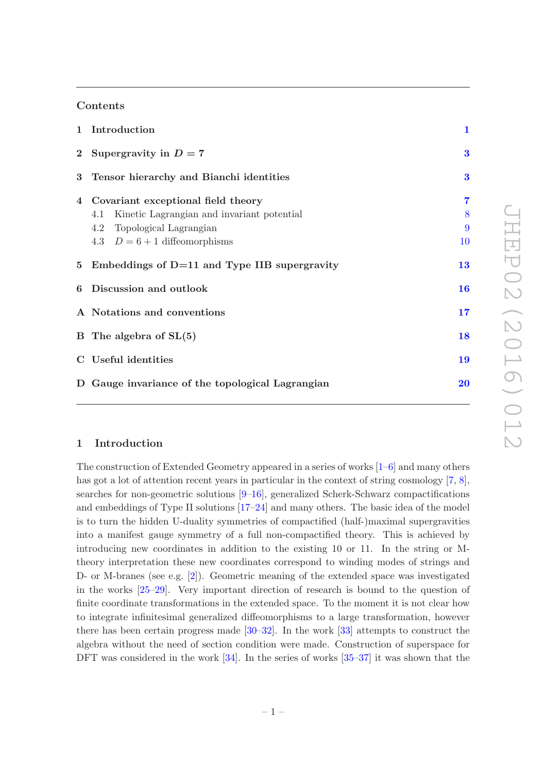# Contents

| 1 Introduction                                                                                                                                             | $\mathbf{1}$                   |
|------------------------------------------------------------------------------------------------------------------------------------------------------------|--------------------------------|
| 2 Supergravity in $D = 7$                                                                                                                                  | 3                              |
| 3 Tensor hierarchy and Bianchi identities                                                                                                                  | 3                              |
| 4 Covariant exceptional field theory<br>Kinetic Lagrangian and invariant potential<br>4.1<br>4.2 Topological Lagrangian<br>4.3 $D = 6 + 1$ diffeomorphisms | $\overline{7}$<br>8<br>9<br>10 |
| 5 Embeddings of $D=11$ and Type IIB supergravity                                                                                                           | 13                             |
| 6 Discussion and outlook                                                                                                                                   | 16                             |
| A Notations and conventions                                                                                                                                |                                |
| B The algebra of $SL(5)$                                                                                                                                   | 18                             |
| C Useful identities                                                                                                                                        | 19                             |
| D Gauge invariance of the topological Lagrangian                                                                                                           | 20                             |

# <span id="page-1-0"></span>1 Introduction

The construction of Extended Geometry appeared in a series of works [\[1](#page-22-0)[–6\]](#page-22-1) and many others has got a lot of attention recent years in particular in the context of string cosmology [\[7](#page-22-2), [8\]](#page-22-3), searches for non-geometric solutions [\[9](#page-22-4)[–16\]](#page-22-5), generalized Scherk-Schwarz compactifications and embeddings of Type II solutions [\[17](#page-23-0)[–24](#page-23-1)] and many others. The basic idea of the model is to turn the hidden U-duality symmetries of compactified (half-)maximal supergravities into a manifest gauge symmetry of a full non-compactified theory. This is achieved by introducing new coordinates in addition to the existing 10 or 11. In the string or Mtheory interpretation these new coordinates correspond to winding modes of strings and D- or M-branes (see e.g. [\[2\]](#page-22-6)). Geometric meaning of the extended space was investigated in the works [\[25](#page-23-2)[–29\]](#page-23-3). Very important direction of research is bound to the question of finite coordinate transformations in the extended space. To the moment it is not clear how to integrate infinitesimal generalized diffeomorphisms to a large transformation, however there has been certain progress made [\[30](#page-23-4)[–32](#page-23-5)]. In the work [\[33\]](#page-23-6) attempts to construct the algebra without the need of section condition were made. Construction of superspace for DFT was considered in the work [\[34](#page-23-7)]. In the series of works [\[35](#page-23-8)[–37](#page-24-0)] it was shown that the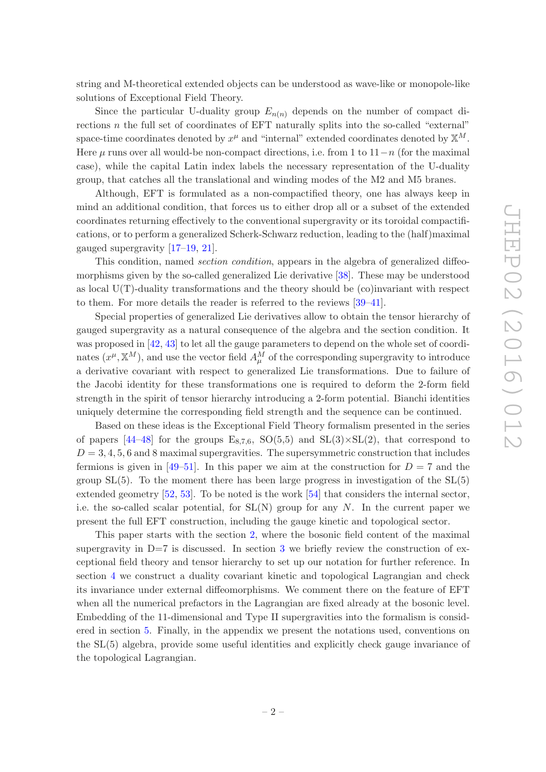string and M-theoretical extended objects can be understood as wave-like or monopole-like solutions of Exceptional Field Theory.

Since the particular U-duality group  $E_{n(n)}$  depends on the number of compact directions  $n$  the full set of coordinates of EFT naturally splits into the so-called "external" space-time coordinates denoted by  $x^{\mu}$  and "internal" extended coordinates denoted by  $\mathbb{X}^{M}$ . Here  $\mu$  runs over all would-be non-compact directions, i.e. from 1 to  $11-n$  (for the maximal case), while the capital Latin index labels the necessary representation of the U-duality group, that catches all the translational and winding modes of the M2 and M5 branes.

Although, EFT is formulated as a non-compactified theory, one has always keep in mind an additional condition, that forces us to either drop all or a subset of the extended coordinates returning effectively to the conventional supergravity or its toroidal compactifications, or to perform a generalized Scherk-Schwarz reduction, leading to the (half)maximal gauged supergravity [\[17](#page-23-0)[–19](#page-23-9), [21](#page-23-10)].

This condition, named *section condition*, appears in the algebra of generalized diffeomorphisms given by the so-called generalized Lie derivative [\[38](#page-24-1)]. These may be understood as local  $U(T)$ -duality transformations and the theory should be (co)invariant with respect to them. For more details the reader is referred to the reviews [\[39](#page-24-2)[–41\]](#page-24-3).

Special properties of generalized Lie derivatives allow to obtain the tensor hierarchy of gauged supergravity as a natural consequence of the algebra and the section condition. It was proposed in [\[42](#page-24-4), [43\]](#page-24-5) to let all the gauge parameters to depend on the whole set of coordinates  $(x^{\mu}, \mathbb{X}^{M})$ , and use the vector field  $A_{\mu}^{M}$  of the corresponding supergravity to introduce a derivative covariant with respect to generalized Lie transformations. Due to failure of the Jacobi identity for these transformations one is required to deform the 2-form field strength in the spirit of tensor hierarchy introducing a 2-form potential. Bianchi identities uniquely determine the corresponding field strength and the sequence can be continued.

Based on these ideas is the Exceptional Field Theory formalism presented in the series of papers  $[44-48]$  for the groups  $E_{8,7,6}$ ,  $SO(5,5)$  and  $SL(3)\times SL(2)$ , that correspond to  $D = 3, 4, 5, 6$  and 8 maximal supergravities. The supersymmetric construction that includes fermions is given in [\[49](#page-24-8)[–51](#page-24-9)]. In this paper we aim at the construction for  $D = 7$  and the group  $SL(5)$ . To the moment there has been large progress in investigation of the  $SL(5)$ extended geometry [\[52](#page-24-10), [53](#page-24-11)]. To be noted is the work [\[54](#page-24-12)] that considers the internal sector, i.e. the so-called scalar potential, for  $SL(N)$  group for any N. In the current paper we present the full EFT construction, including the gauge kinetic and topological sector.

This paper starts with the section [2,](#page-3-0) where the bosonic field content of the maximal supergravity in  $D=7$  is discussed. In section [3](#page-3-1) we briefly review the construction of exceptional field theory and tensor hierarchy to set up our notation for further reference. In section [4](#page-7-0) we construct a duality covariant kinetic and topological Lagrangian and check its invariance under external diffeomorphisms. We comment there on the feature of EFT when all the numerical prefactors in the Lagrangian are fixed already at the bosonic level. Embedding of the 11-dimensional and Type II supergravities into the formalism is considered in section [5.](#page-13-0) Finally, in the appendix we present the notations used, conventions on the SL(5) algebra, provide some useful identities and explicitly check gauge invariance of the topological Lagrangian.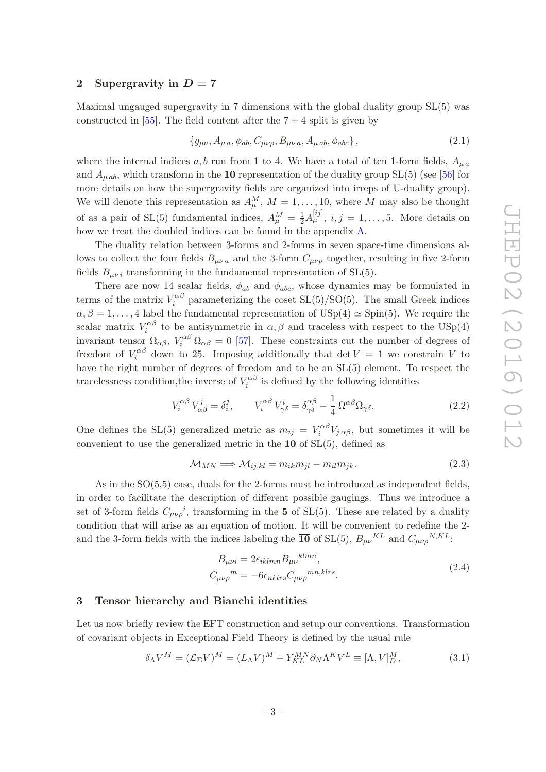#### <span id="page-3-0"></span>2 Supergravity in  $D = 7$

Maximal ungauged supergravity in 7 dimensions with the global duality group SL(5) was constructed in [\[55\]](#page-24-13). The field content after the  $7 + 4$  split is given by

<span id="page-3-2"></span>
$$
\{g_{\mu\nu}, A_{\mu\,a}, \phi_{ab}, C_{\mu\nu\rho}, B_{\mu\nu\,a}, A_{\mu\,ab}, \phi_{abc}\},\tag{2.1}
$$

where the internal indices a, b run from 1 to 4. We have a total of ten 1-form fields,  $A_{\mu}a$ and  $A_{\mu ab}$ , which transform in the  $\overline{10}$  representation of the duality group SL(5) (see [\[56\]](#page-24-14) for more details on how the supergravity fields are organized into irreps of U-duality group). We will denote this representation as  $A_{\mu}^{M}$ ,  $M = 1, \ldots, 10$ , where M may also be thought of as a pair of SL(5) fundamental indices,  $A^M_\mu = \frac{1}{2} A^{[ij]}_\mu$ ,  $i, j = 1, \ldots, 5$ . More details on how we treat the doubled indices can be found in the appendix [A.](#page-17-0)

The duality relation between 3-forms and 2-forms in seven space-time dimensions allows to collect the four fields  $B_{\mu\nu a}$  and the 3-form  $C_{\mu\nu\rho}$  together, resulting in five 2-form fields  $B_{\mu\nu i}$  transforming in the fundamental representation of SL(5).

There are now 14 scalar fields,  $\phi_{ab}$  and  $\phi_{abc}$ , whose dynamics may be formulated in terms of the matrix  $V_i^{\alpha\beta}$  $\sum_{i}^{cap}$  parameterizing the coset  $SL(5)/SO(5)$ . The small Greek indices  $\alpha, \beta = 1, \ldots, 4$  label the fundamental representation of USp(4)  $\simeq$  Spin(5). We require the scalar matrix  $V_i^{\alpha\beta}$  to be antisymmetric in  $\alpha, \beta$  and traceless with respect to the USp(4) i invariant tensor  $\Omega_{\alpha\beta}$ ,  $V_i^{\alpha\beta} \Omega_{\alpha\beta} = 0$  [\[57\]](#page-25-0). These constraints cut the number of degrees of freedom of  $V_i^{\alpha\beta}$  $\epsilon_i^{\alpha}$  down to 25. Imposing additionally that  $\det V = 1$  we constrain V to have the right number of degrees of freedom and to be an SL(5) element. To respect the tracelessness condition, the inverse of  $V_i^{\alpha\beta}$  $\tilde{i}^{\alpha\beta}$  is defined by the following identities

$$
V_i^{\alpha\beta} V_{\alpha\beta}^j = \delta_i^j, \qquad V_i^{\alpha\beta} V_{\gamma\delta}^i = \delta_{\gamma\delta}^{\alpha\beta} - \frac{1}{4} \Omega^{\alpha\beta} \Omega_{\gamma\delta}.
$$
 (2.2)

One defines the SL(5) generalized metric as  $m_{ij} = V_i^{\alpha\beta}$  $\zeta_i^{\alpha\beta}V_{j\alpha\beta}$ , but sometimes it will be convenient to use the generalized metric in the  $10$  of  $SL(5)$ , defined as

$$
\mathcal{M}_{MN} \Longrightarrow \mathcal{M}_{ij,kl} = m_{ik} m_{jl} - m_{il} m_{jk}.
$$
\n(2.3)

As in the  $SO(5,5)$  case, duals for the 2-forms must be introduced as independent fields, in order to facilitate the description of different possible gaugings. Thus we introduce a set of 3-form fields  $C_{\mu\nu\rho}{}^i$ , transforming in the  $\overline{5}$  of SL(5). These are related by a duality condition that will arise as an equation of motion. It will be convenient to redefine the 2 and the 3-form fields with the indices labeling the  $\overline{10}$  of SL(5),  $B_{\mu\nu}{}^{KL}$  and  $C_{\mu\nu\rho}{}^{N,KL}$ .

$$
B_{\mu\nu i} = 2\epsilon_{iklmn} B_{\mu\nu}^{klmn},
$$
  
\n
$$
C_{\mu\nu\rho}{}^{m} = -6\epsilon_{nklrs} C_{\mu\nu\rho}{}^{mn,klrs}.
$$
\n(2.4)

## <span id="page-3-1"></span>3 Tensor hierarchy and Bianchi identities

Let us now briefly review the EFT construction and setup our conventions. Transformation of covariant objects in Exceptional Field Theory is defined by the usual rule

$$
\delta_{\Lambda} V^M = (\mathcal{L}_{\Sigma} V)^M = (L_{\Lambda} V)^M + Y_{KL}^{MN} \partial_N \Lambda^K V^L \equiv [\Lambda, V]^M_D, \tag{3.1}
$$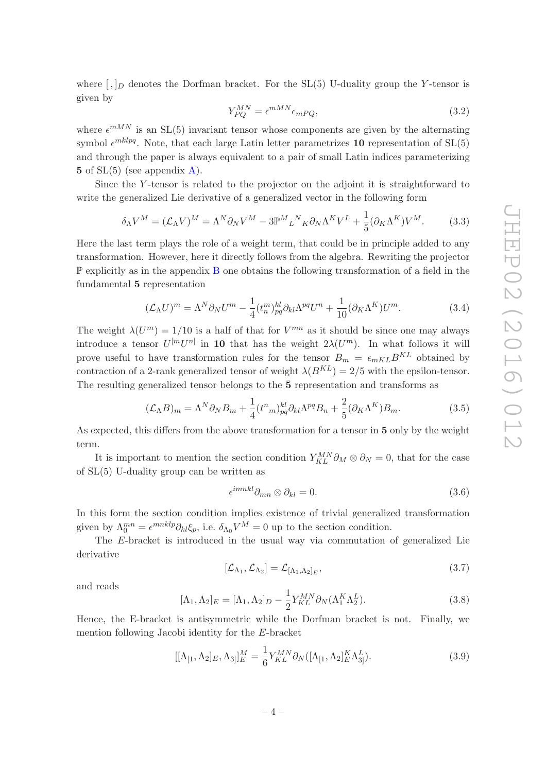where  $\lceil \cdot \rceil_D$  denotes the Dorfman bracket. For the SL(5) U-duality group the Y-tensor is given by

$$
Y_{PQ}^{MN} = \epsilon^{mMN} \epsilon_{mPQ}, \tag{3.2}
$$

where  $\epsilon^{mMN}$  is an SL(5) invariant tensor whose components are given by the alternating symbol  $\epsilon^{mklpq}$ . Note, that each large Latin letter parametrizes 10 representation of SL(5) and through the paper is always equivalent to a pair of small Latin indices parameterizing 5 of  $SL(5)$  (see appendix [A\)](#page-17-0).

Since the Y -tensor is related to the projector on the adjoint it is straightforward to write the generalized Lie derivative of a generalized vector in the following form

$$
\delta_{\Lambda}V^{M} = (\mathcal{L}_{\Lambda}V)^{M} = \Lambda^{N}\partial_{N}V^{M} - 3\mathbb{P}^{M}{}_{L}{}^{N}{}_{K}\partial_{N}\Lambda^{K}V^{L} + \frac{1}{5}(\partial_{K}\Lambda^{K})V^{M}.
$$
 (3.3)

Here the last term plays the role of a weight term, that could be in principle added to any transformation. However, here it directly follows from the algebra. Rewriting the projector  $\mathbb P$  explicitly as in the appendix [B](#page-18-0) one obtains the following transformation of a field in the fundamental 5 representation

$$
(\mathcal{L}_{\Lambda}U)^{m} = \Lambda^{N}\partial_{N}U^{m} - \frac{1}{4}(t_{n}^{m})_{pq}^{kl}\partial_{kl}\Lambda^{pq}U^{n} + \frac{1}{10}(\partial_{K}\Lambda^{K})U^{m}.
$$
\n(3.4)

The weight  $\lambda(U^m) = 1/10$  is a half of that for  $V^{mn}$  as it should be since one may always introduce a tensor  $U^{[m}U^{n]}$  in 10 that has the weight  $2\lambda(U^{m})$ . In what follows it will prove useful to have transformation rules for the tensor  $B_m = \epsilon_{mKL} B^{KL}$  obtained by contraction of a 2-rank generalized tensor of weight  $\lambda(B^{KL}) = 2/5$  with the epsilon-tensor. The resulting generalized tensor belongs to the  $\bar{5}$  representation and transforms as

$$
(\mathcal{L}_{\Lambda}B)_m = \Lambda^N \partial_N B_m + \frac{1}{4} (t^n{}_m)^{kl}_{pq} \partial_{kl} \Lambda^{pq} B_n + \frac{2}{5} (\partial_K \Lambda^K) B_m. \tag{3.5}
$$

As expected, this differs from the above transformation for a tensor in 5 only by the weight term.

It is important to mention the section condition  $Y_{KL}^{MN}\partial_M \otimes \partial_N = 0$ , that for the case of SL(5) U-duality group can be written as

$$
\epsilon^{imnkl}\partial_{mn}\otimes\partial_{kl}=0.\tag{3.6}
$$

In this form the section condition implies existence of trivial generalized transformation given by  $\Lambda_0^{mn} = \epsilon^{mnklp}\partial_{kl}\xi_p$ , i.e.  $\delta_{\Lambda_0}V^M = 0$  up to the section condition.

The E-bracket is introduced in the usual way via commutation of generalized Lie derivative

$$
[\mathcal{L}_{\Lambda_1}, \mathcal{L}_{\Lambda_2}] = \mathcal{L}_{[\Lambda_1, \Lambda_2]_E},\tag{3.7}
$$

and reads

<span id="page-4-0"></span>
$$
[\Lambda_1, \Lambda_2]_E = [\Lambda_1, \Lambda_2]_D - \frac{1}{2} Y_{KL}^{MN} \partial_N (\Lambda_1^K \Lambda_2^L).
$$
\n(3.8)

Hence, the E-bracket is antisymmetric while the Dorfman bracket is not. Finally, we mention following Jacobi identity for the E-bracket

$$
[[\Lambda_{[1}, \Lambda_2]_E, \Lambda_3]]_E^M = \frac{1}{6} Y_{KL}^{MN} \partial_N ([\Lambda_{[1}, \Lambda_2]_E^K \Lambda_{3}^L].
$$
\n(3.9)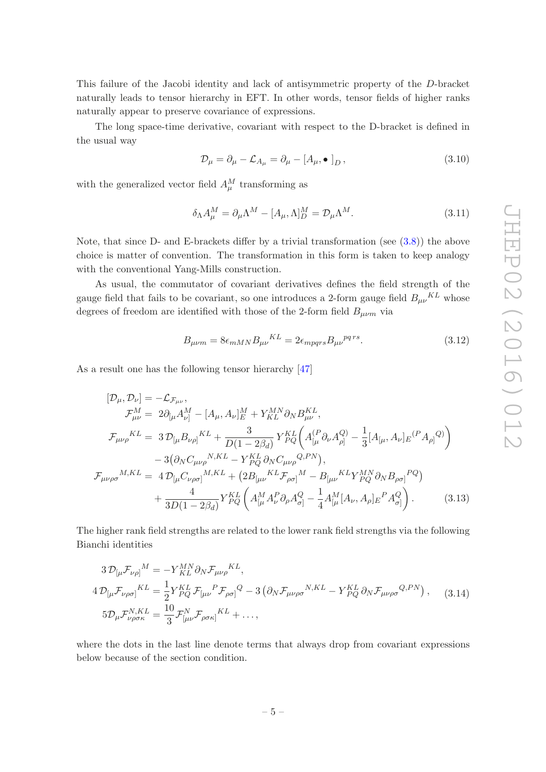This failure of the Jacobi identity and lack of antisymmetric property of the D-bracket naturally leads to tensor hierarchy in EFT. In other words, tensor fields of higher ranks naturally appear to preserve covariance of expressions.

The long space-time derivative, covariant with respect to the D-bracket is defined in the usual way

$$
\mathcal{D}_{\mu} = \partial_{\mu} - \mathcal{L}_{A_{\mu}} = \partial_{\mu} - [A_{\mu}, \bullet]_{D}, \qquad (3.10)
$$

with the generalized vector field  $A_{\mu}^M$  transforming as

$$
\delta_{\Lambda} A_{\mu}^{M} = \partial_{\mu} \Lambda^{M} - [A_{\mu}, \Lambda]_{D}^{M} = \mathcal{D}_{\mu} \Lambda^{M}.
$$
\n(3.11)

Note, that since D- and E-brackets differ by a trivial transformation (see [\(3.8\)](#page-4-0)) the above choice is matter of convention. The transformation in this form is taken to keep analogy with the conventional Yang-Mills construction.

As usual, the commutator of covariant derivatives defines the field strength of the gauge field that fails to be covariant, so one introduces a 2-form gauge field  $B_{\mu\nu}{}^{KL}$  whose degrees of freedom are identified with those of the 2-form field  $B_{\mu\nu m}$  via

$$
B_{\mu\nu m} = 8\epsilon_{mMN} B_{\mu\nu}{}^{KL} = 2\epsilon_{mpqrs} B_{\mu\nu}{}^{pqrs}.
$$
\n(3.12)

As a result one has the following tensor hierarchy [\[47\]](#page-24-15)

$$
[\mathcal{D}_{\mu}, \mathcal{D}_{\nu}] = -\mathcal{L}_{\mathcal{F}_{\mu\nu}},
$$
  
\n
$$
\mathcal{F}_{\mu\nu}^{M} = 2\partial_{[\mu}A_{\nu]}^{M} - [A_{\mu}, A_{\nu}]_{E}^{M} + Y_{KL}^{MN}\partial_{N}B_{\mu\nu}^{KL},
$$
  
\n
$$
\mathcal{F}_{\mu\nu\rho}^{KL} = 3\mathcal{D}_{[\mu}B_{\nu\rho]}^{KL} + \frac{3}{D(1 - 2\beta_{d})}Y_{PQ}^{KL}\left(A_{[\mu}^{(P}\partial_{\nu}A_{\rho]}^{Q)} - \frac{1}{3}[A_{[\mu}, A_{\nu}]_{E}^{(P}A_{\rho]}^{Q)}\right)
$$
  
\n
$$
- 3(\partial_{N}C_{\mu\nu\rho}^{N,KL} - Y_{PQ}^{KL}\partial_{N}C_{\mu\nu\rho}^{Q,PN}),
$$
  
\n
$$
\mathcal{F}_{\mu\nu\rho\sigma}^{M,KL} = 4\mathcal{D}_{[\mu}C_{\nu\rho\sigma]}^{M,KL} + (2B_{[\mu\nu}^{KL}\mathcal{F}_{\rho\sigma]}^{M} - B_{[\mu\nu}^{KL}Y_{PQ}^{MN}\partial_{N}B_{\rho\sigma]}^{PQ})
$$
  
\n
$$
+ \frac{4}{3D(1 - 2\beta_{d})}Y_{PQ}^{KL}\left(A_{[\mu}^{M}A_{\nu}^{P}\partial_{\rho}A_{\sigma]}^{Q} - \frac{1}{4}A_{[\mu}^{M}[A_{\nu}, A_{\rho}]_{E}^{P}A_{\sigma}^{Q}\right).
$$
\n(3.13)

The higher rank field strengths are related to the lower rank field strengths via the following Bianchi identities

$$
3\mathcal{D}_{\lbrack\mu}\mathcal{F}_{\nu\rho\rbrack}{}^M = -Y_{KL}^{MN}\partial_N\mathcal{F}_{\mu\nu\rho}{}^{KL},
$$
  
\n
$$
4\mathcal{D}_{\lbrack\mu}\mathcal{F}_{\nu\rho\sigma\rbrack}{}^{KL} = \frac{1}{2}Y_{PQ}^{KL}\mathcal{F}_{\lbrack\mu\nu}{}^P\mathcal{F}_{\rho\sigma\rbrack}{}^Q - 3\left(\partial_N\mathcal{F}_{\mu\nu\rho\sigma}{}^{N,KL} - Y_{PQ}^{KL}\partial_N\mathcal{F}_{\mu\nu\rho\sigma}{}^{Q,PN}\right), \quad (3.14)
$$
  
\n
$$
5\mathcal{D}_{\mu}\mathcal{F}_{\nu\rho\sigma\kappa}^{N,KL} = \frac{10}{3}\mathcal{F}_{\lbrack\mu\nu}^N\mathcal{F}_{\rho\sigma\kappa\rbrack}{}^{KL} + \dots,
$$

where the dots in the last line denote terms that always drop from covariant expressions below because of the section condition.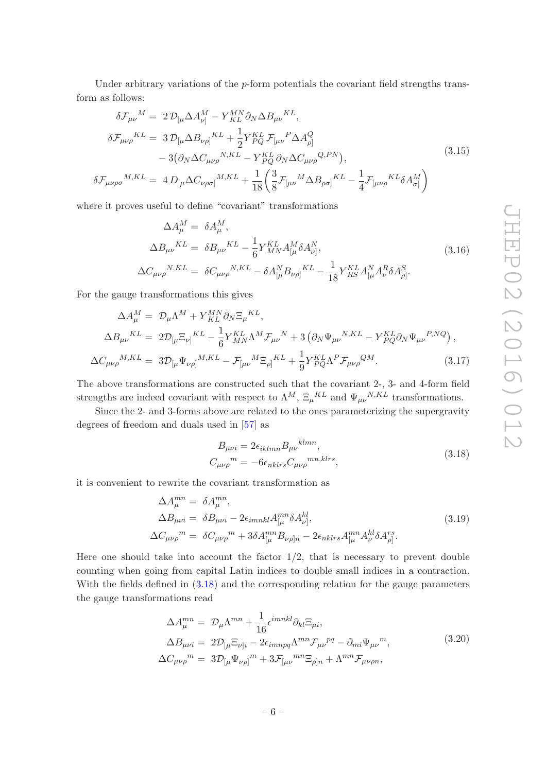Under arbitrary variations of the  $p$ -form potentials the covariant field strengths transform as follows:

$$
\delta \mathcal{F}_{\mu\nu}{}^{M} = 2 \mathcal{D}_{\left[\mu\right.} \Delta A_{\nu\right]}^{M} - Y_{KL}^{MN} \partial_{N} \Delta B_{\mu\nu}{}^{KL},
$$
\n
$$
\delta \mathcal{F}_{\mu\nu\rho}{}^{KL} = 3 \mathcal{D}_{\left[\mu\right.} \Delta B_{\nu\rho\right]}{}^{KL} + \frac{1}{2} Y_{PQ}^{KL} \mathcal{F}_{\left[\mu\nu\right.}{}^{P} \Delta A_{\rho\right]}^{Q}
$$
\n
$$
- 3 \big( \partial_{N} \Delta C_{\mu\nu\rho}{}^{N,KL} - Y_{PQ}^{KL} \partial_{N} \Delta C_{\mu\nu\rho}{}^{Q,PN} \big),
$$
\n
$$
\delta \mathcal{F}_{\mu\nu\rho\sigma}{}^{M,KL} = 4 D_{\left[\mu\right.} \Delta C_{\nu\rho\sigma\right]}{}^{M,KL} + \frac{1}{18} \bigg( \frac{3}{8} \mathcal{F}_{\left[\mu\nu\right.}{}^{M} \Delta B_{\rho\sigma\right]}{}^{KL} - \frac{1}{4} \mathcal{F}_{\left[\mu\nu\rho\right.}{}^{KL} \delta A_{\sigma\right]}^{M} \bigg)
$$
\n(3.15)

where it proves useful to define "covariant" transformations

$$
\Delta A_{\mu}^{M} = \delta A_{\mu}^{M},
$$
\n
$$
\Delta B_{\mu\nu}^{KL} = \delta B_{\mu\nu}^{KL} - \frac{1}{6} Y_{MN}^{KL} A_{[\mu}^{M} \delta A_{\nu]}^{N},
$$
\n
$$
\Delta C_{\mu\nu\rho}^{N,KL} = \delta C_{\mu\nu\rho}^{N,KL} - \delta A_{[\mu}^{N} B_{\nu\rho]}^{KL} - \frac{1}{18} Y_{RS}^{KL} A_{[\mu}^{N} A_{\nu}^{R} \delta A_{\rho]}^{S}.
$$
\n(3.16)

For the gauge transformations this gives

$$
\Delta A_{\mu}^{M} = \mathcal{D}_{\mu} \Lambda^{M} + Y_{KL}^{MN} \partial_{N} \Xi_{\mu}^{KL},
$$
\n
$$
\Delta B_{\mu\nu}^{KL} = 2 \mathcal{D}_{\left[\mu} \Xi_{\nu\right]}^{KL} - \frac{1}{6} Y_{MN}^{KL} \Lambda^{M} \mathcal{F}_{\mu\nu}^{N} + 3 \left( \partial_{N} \Psi_{\mu\nu}^{N,KL} - Y_{PQ}^{KL} \partial_{N} \Psi_{\mu\nu}^{P,NQ} \right),
$$
\n
$$
\Delta C_{\mu\nu\rho}^{M,KL} = 3 \mathcal{D}_{\left[\mu} \Psi_{\nu\rho\right]}^{M,KL} - \mathcal{F}_{\left[\mu\nu}^{M} \Xi_{\rho\right]}^{KL} + \frac{1}{9} Y_{PQ}^{KL} \Lambda^{P} \mathcal{F}_{\mu\nu\rho}^{QM}.
$$
\n(3.17)

The above transformations are constructed such that the covariant 2-, 3- and 4-form field strengths are indeed covariant with respect to  $\Lambda^M$ ,  $\Xi_\mu{}^{KL}$  and  $\Psi_{\mu\nu}{}^{N,KL}$  transformations.

Since the 2- and 3-forms above are related to the ones parameterizing the supergravity degrees of freedom and duals used in [\[57\]](#page-25-0) as

<span id="page-6-0"></span>
$$
B_{\mu\nu i} = 2\epsilon_{iklmn} B_{\mu\nu}^{klmn},
$$
  
\n
$$
C_{\mu\nu\rho}{}^{m} = -6\epsilon_{nklrs} C_{\mu\nu\rho}{}^{mn,klrs},
$$
\n(3.18)

it is convenient to rewrite the covariant transformation as

$$
\Delta A_{\mu}^{mn} = \delta A_{\mu}^{mn},
$$
  
\n
$$
\Delta B_{\mu\nu i} = \delta B_{\mu\nu i} - 2\epsilon_{imnkl} A_{[\mu}^{mn} \delta A_{\nu]}^{kl},
$$
  
\n
$$
\Delta C_{\mu\nu\rho}{}^{m} = \delta C_{\mu\nu\rho}{}^{m} + 3\delta A_{[\mu}^{mn} B_{\nu\rho]n} - 2\epsilon_{nklrs} A_{[\mu}^{mn} A_{\nu}^{kl} \delta A_{\rho]}^{rs}.
$$
\n(3.19)

Here one should take into account the factor  $1/2$ , that is necessary to prevent double counting when going from capital Latin indices to double small indices in a contraction. With the fields defined in [\(3.18\)](#page-6-0) and the corresponding relation for the gauge parameters the gauge transformations read

$$
\Delta A_{\mu}^{mn} = \mathcal{D}_{\mu} \Lambda^{mn} + \frac{1}{16} \epsilon^{imnkl} \partial_{kl} \Xi_{\mu i},
$$
  
\n
$$
\Delta B_{\mu\nu i} = 2 \mathcal{D}_{[\mu} \Xi_{\nu]i} - 2 \epsilon_{imnpq} \Lambda^{mn} \mathcal{F}_{\mu\nu}^{pq} - \partial_{mi} \Psi_{\mu\nu}{}^{m},
$$
  
\n
$$
\Delta C_{\mu\nu\rho}{}^{m} = 3 \mathcal{D}_{[\mu} \Psi_{\nu\rho]}{}^{m} + 3 \mathcal{F}_{[\mu\nu}{}^{mn} \Xi_{\rho]n} + \Lambda^{mn} \mathcal{F}_{\mu\nu\rho n},
$$
\n(3.20)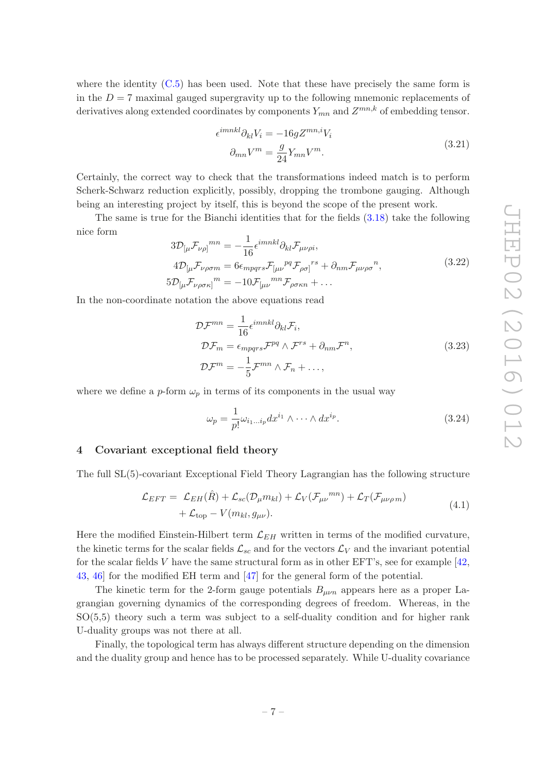where the identity  $(C.5)$  has been used. Note that these have precisely the same form is in the  $D = 7$  maximal gauged supergravity up to the following mnemonic replacements of derivatives along extended coordinates by components  $Y_{mn}$  and  $Z^{mn,k}$  of embedding tensor.

$$
\epsilon^{imnkl}\partial_{kl}V_i = -16gZ^{mn,i}V_i
$$
  

$$
\partial_{mn}V^m = \frac{g}{24}Y_{mn}V^m.
$$
 (3.21)

Certainly, the correct way to check that the transformations indeed match is to perform Scherk-Schwarz reduction explicitly, possibly, dropping the trombone gauging. Although being an interesting project by itself, this is beyond the scope of the present work.

The same is true for the Bianchi identities that for the fields [\(3.18\)](#page-6-0) take the following nice form

$$
3\mathcal{D}_{\left[\mu\mathcal{F}_{\nu\rho}\right]}^{mn} = -\frac{1}{16} \epsilon^{imnkl} \partial_{kl} \mathcal{F}_{\mu\nu\rho i},
$$
  
\n
$$
4\mathcal{D}_{\left[\mu\mathcal{F}_{\nu\rho\sigma m}\right]}^{mn} = 6\epsilon_{mpqrs} \mathcal{F}_{\left[\mu\nu\right]}^{pq} \mathcal{F}_{\rho\sigma\right]}^{rs} + \partial_{nm} \mathcal{F}_{\mu\nu\rho\sigma}^{n},
$$
  
\n
$$
5\mathcal{D}_{\left[\mu\mathcal{F}_{\nu\rho\sigma\kappa\right]}^{m} = -10 \mathcal{F}_{\left[\mu\nu\right]}^{mn} \mathcal{F}_{\rho\sigma\kappa n} + \dots
$$
\n(3.22)

In the non-coordinate notation the above equations read

$$
\mathcal{D}\mathcal{F}^{mn} = \frac{1}{16} \epsilon^{imnkl} \partial_{kl} \mathcal{F}_i,
$$
  
\n
$$
\mathcal{D}\mathcal{F}_m = \epsilon_{mpqrs} \mathcal{F}^{pq} \wedge \mathcal{F}^{rs} + \partial_{nm} \mathcal{F}^n,
$$
  
\n
$$
\mathcal{D}\mathcal{F}^m = -\frac{1}{5} \mathcal{F}^{mn} \wedge \mathcal{F}_n + ...,
$$
\n(3.23)

where we define a p-form  $\omega_p$  in terms of its components in the usual way

$$
\omega_p = \frac{1}{p!} \omega_{i_1 \dots i_p} dx^{i_1} \wedge \dots \wedge dx^{i_p}.
$$
\n(3.24)

#### <span id="page-7-0"></span>4 Covariant exceptional field theory

The full SL(5)-covariant Exceptional Field Theory Lagrangian has the following structure

$$
\mathcal{L}_{EFT} = \mathcal{L}_{EH}(\hat{R}) + \mathcal{L}_{sc}(\mathcal{D}_{\mu}m_{kl}) + \mathcal{L}_{V}(\mathcal{F}_{\mu\nu}^{mn}) + \mathcal{L}_{T}(\mathcal{F}_{\mu\nu\rho m}) + \mathcal{L}_{top} - V(m_{kl}, g_{\mu\nu}).
$$
\n(4.1)

Here the modified Einstein-Hilbert term  $\mathcal{L}_{EH}$  written in terms of the modified curvature, the kinetic terms for the scalar fields  $\mathcal{L}_{sc}$  and for the vectors  $\mathcal{L}_V$  and the invariant potential for the scalar fields V have the same structural form as in other  $EFT$ 's, see for example [\[42,](#page-24-4) [43](#page-24-5), [46\]](#page-24-16) for the modified EH term and [\[47](#page-24-15)] for the general form of the potential.

The kinetic term for the 2-form gauge potentials  $B_{\mu\nu n}$  appears here as a proper Lagrangian governing dynamics of the corresponding degrees of freedom. Whereas, in the SO(5,5) theory such a term was subject to a self-duality condition and for higher rank U-duality groups was not there at all.

Finally, the topological term has always different structure depending on the dimension and the duality group and hence has to be processed separately. While U-duality covariance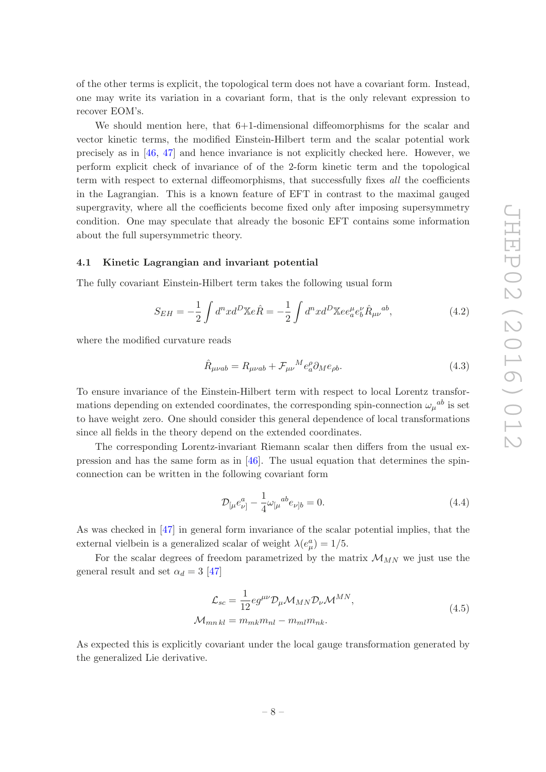of the other terms is explicit, the topological term does not have a covariant form. Instead, one may write its variation in a covariant form, that is the only relevant expression to recover EOM's.

We should mention here, that  $6+1$ -dimensional diffeomorphisms for the scalar and vector kinetic terms, the modified Einstein-Hilbert term and the scalar potential work precisely as in [\[46](#page-24-16), [47](#page-24-15)] and hence invariance is not explicitly checked here. However, we perform explicit check of invariance of of the 2-form kinetic term and the topological term with respect to external diffeomorphisms, that successfully fixes all the coefficients in the Lagrangian. This is a known feature of EFT in contrast to the maximal gauged supergravity, where all the coefficients become fixed only after imposing supersymmetry condition. One may speculate that already the bosonic EFT contains some information about the full supersymmetric theory.

### <span id="page-8-0"></span>4.1 Kinetic Lagrangian and invariant potential

The fully covariant Einstein-Hilbert term takes the following usual form

$$
S_{EH} = -\frac{1}{2} \int d^{n}x d^{D} \mathbb{X} e \hat{R} = -\frac{1}{2} \int d^{n}x d^{D} \mathbb{X} e e_{a}^{\mu} e_{b}^{\nu} \hat{R}_{\mu\nu}{}^{ab}, \tag{4.2}
$$

where the modified curvature reads

$$
\hat{R}_{\mu\nu ab} = R_{\mu\nu ab} + \mathcal{F}_{\mu\nu}{}^M e_a^\rho \partial_M e_{\rho b}.\tag{4.3}
$$

To ensure invariance of the Einstein-Hilbert term with respect to local Lorentz transformations depending on extended coordinates, the corresponding spin-connection  $\omega_{\mu}{}^{ab}$  is set to have weight zero. One should consider this general dependence of local transformations since all fields in the theory depend on the extended coordinates.

The corresponding Lorentz-invariant Riemann scalar then differs from the usual expression and has the same form as in  $[46]$ . The usual equation that determines the spinconnection can be written in the following covariant form

$$
\mathcal{D}_{\lbrack\mu}e_{\nu]}^{a}-\frac{1}{4}\omega_{\lbrack\mu}^{ab}e_{\nu]b}=0.\tag{4.4}
$$

As was checked in [\[47\]](#page-24-15) in general form invariance of the scalar potential implies, that the external vielbein is a generalized scalar of weight  $\lambda(e^a_\mu) = 1/5$ .

For the scalar degrees of freedom parametrized by the matrix  $\mathcal{M}_{MN}$  we just use the general result and set  $\alpha_d = 3$  [\[47\]](#page-24-15)

$$
\mathcal{L}_{sc} = \frac{1}{12} e g^{\mu\nu} \mathcal{D}_{\mu} \mathcal{M}_{MN} \mathcal{D}_{\nu} \mathcal{M}^{MN},
$$
  

$$
\mathcal{M}_{mn \, kl} = m_{mk} m_{nl} - m_{ml} m_{nk}.
$$
 (4.5)

As expected this is explicitly covariant under the local gauge transformation generated by the generalized Lie derivative.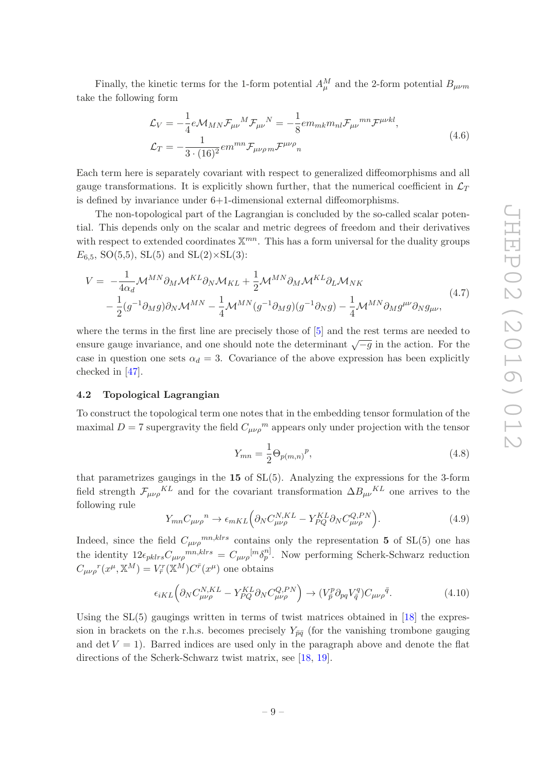Finally, the kinetic terms for the 1-form potential  $A^M_\mu$  and the 2-form potential  $B_{\mu\nu m}$ take the following form

$$
\mathcal{L}_V = -\frac{1}{4} e \mathcal{M}_{MN} \mathcal{F}_{\mu\nu}{}^M \mathcal{F}_{\mu\nu}{}^N = -\frac{1}{8} e m_{mk} m_{nl} \mathcal{F}_{\mu\nu}{}^{mn} \mathcal{F}^{\mu\nu kl},
$$
\n
$$
\mathcal{L}_T = -\frac{1}{3 \cdot (16)^2} e m^{mn} \mathcal{F}_{\mu\nu\rho m} \mathcal{F}^{\mu\nu\rho}{}_{n}
$$
\n(4.6)

Each term here is separately covariant with respect to generalized diffeomorphisms and all gauge transformations. It is explicitly shown further, that the numerical coefficient in  $\mathcal{L}_T$ is defined by invariance under 6+1-dimensional external diffeomorphisms.

The non-topological part of the Lagrangian is concluded by the so-called scalar potential. This depends only on the scalar and metric degrees of freedom and their derivatives with respect to extended coordinates  $\mathbb{X}^{mn}$ . This has a form universal for the duality groups  $E_{6.5}$ , SO(5,5), SL(5) and SL(2)×SL(3):

$$
V = -\frac{1}{4\alpha_d} \mathcal{M}^{MN} \partial_M \mathcal{M}^{KL} \partial_N \mathcal{M}_{KL} + \frac{1}{2} \mathcal{M}^{MN} \partial_M \mathcal{M}^{KL} \partial_L \mathcal{M}_{NK}
$$
  
 
$$
- \frac{1}{2} (g^{-1} \partial_M g) \partial_N \mathcal{M}^{MN} - \frac{1}{4} \mathcal{M}^{MN} (g^{-1} \partial_M g) (g^{-1} \partial_N g) - \frac{1}{4} \mathcal{M}^{MN} \partial_M g^{\mu\nu} \partial_N g_{\mu\nu}, \tag{4.7}
$$

where the terms in the first line are precisely those of [\[5\]](#page-22-7) and the rest terms are needed to ensure gauge invariance, and one should note the determinant  $\sqrt{-g}$  in the action. For the case in question one sets  $\alpha_d = 3$ . Covariance of the above expression has been explicitly checked in [\[47](#page-24-15)].

## <span id="page-9-0"></span>4.2 Topological Lagrangian

To construct the topological term one notes that in the embedding tensor formulation of the maximal  $D = 7$  supergravity the field  $C_{\mu\nu\rho}^{\mu\nu}$  appears only under projection with the tensor

$$
Y_{mn} = \frac{1}{2} \Theta_{p(m,n)}{}^{p}, \tag{4.8}
$$

that parametrizes gaugings in the  $15$  of  $SL(5)$ . Analyzing the expressions for the 3-form field strength  $\mathcal{F}_{\mu\nu\rho}{}^{KL}$  and for the covariant transformation  $\Delta B_{\mu\nu}{}^{KL}$  one arrives to the following rule

$$
Y_{mn}C_{\mu\nu\rho}{}^{n} \to \epsilon_{mKL} \Big(\partial_N C_{\mu\nu\rho}^{N,KL} - Y_{PQ}^{KL} \partial_N C_{\mu\nu\rho}^{Q,PN} \Big). \tag{4.9}
$$

Indeed, since the field  $C_{\mu\nu\rho}{}^{mn,klrs}$  contains only the representation 5 of SL(5) one has the identity  $12\epsilon_{pklrs}C_{\mu\nu\rho}{}^{mn,klrs} = C_{\mu\nu\rho}{}^{[m}\delta_p^{n]}$ . Now performing Scherk-Schwarz reduction  $C_{\mu\nu\rho}{}^r(x^\mu, \mathbb{X}^M) = V^r_{\bar{r}}(\mathbb{X}^M) C^{\bar{r}}(x^\mu)$  one obtains

$$
\epsilon_{iKL} \left( \partial_N C_{\mu\nu\rho}^{N,KL} - Y_{PQ}^{KL} \partial_N C_{\mu\nu\rho}^{Q,PN} \right) \to (V_{\bar{p}}^p \partial_{pq} V_{\bar{q}}^q) C_{\mu\nu\rho}^{\bar{q}}.
$$
\n(4.10)

Using the  $SL(5)$  gaugings written in terms of twist matrices obtained in [\[18\]](#page-23-11) the expression in brackets on the r.h.s. becomes precisely  $Y_{\bar{p}\bar{q}}$  (for the vanishing trombone gauging and det  $V = 1$ ). Barred indices are used only in the paragraph above and denote the flat directions of the Scherk-Schwarz twist matrix, see [\[18,](#page-23-11) [19](#page-23-9)].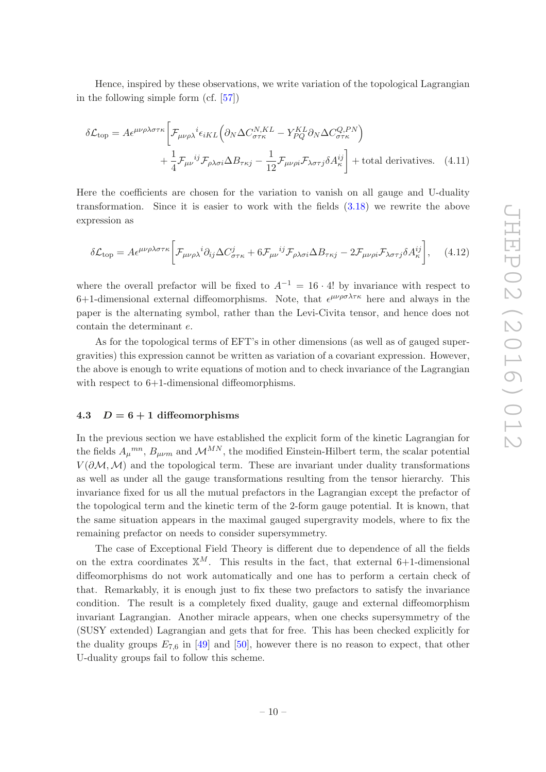Hence, inspired by these observations, we write variation of the topological Lagrangian in the following simple form (cf. [\[57\]](#page-25-0))

$$
\delta \mathcal{L}_{\text{top}} = A \epsilon^{\mu \nu \rho \lambda \sigma \tau \kappa} \bigg[ \mathcal{F}_{\mu \nu \rho \lambda}{}^{i} \epsilon_{iKL} \bigg( \partial_N \Delta C_{\sigma \tau \kappa}^{N, KL} - Y_{PQ}^{KL} \partial_N \Delta C_{\sigma \tau \kappa}^{Q, PN} \bigg) + \frac{1}{4} \mathcal{F}_{\mu \nu}{}^{ij} \mathcal{F}_{\rho \lambda \sigma i} \Delta B_{\tau \kappa j} - \frac{1}{12} \mathcal{F}_{\mu \nu \rho i} \mathcal{F}_{\lambda \sigma \tau j} \delta A_{\kappa}^{ij} \bigg] + \text{total derivatives.} \quad (4.11)
$$

Here the coefficients are chosen for the variation to vanish on all gauge and U-duality transformation. Since it is easier to work with the fields [\(3.18\)](#page-6-0) we rewrite the above expression as

<span id="page-10-1"></span>
$$
\delta \mathcal{L}_{\text{top}} = A \epsilon^{\mu \nu \rho \lambda \sigma \tau \kappa} \bigg[ \mathcal{F}_{\mu \nu \rho \lambda}{}^{i} \partial_{ij} \Delta C^{j}_{\sigma \tau \kappa} + 6 \mathcal{F}_{\mu \nu}{}^{ij} \mathcal{F}_{\rho \lambda \sigma i} \Delta B_{\tau \kappa j} - 2 \mathcal{F}_{\mu \nu \rho i} \mathcal{F}_{\lambda \sigma \tau j} \delta A^{ij}_{\kappa} \bigg], \quad (4.12)
$$

where the overall prefactor will be fixed to  $A^{-1} = 16 \cdot 4!$  by invariance with respect to 6+1-dimensional external diffeomorphisms. Note, that  $\epsilon^{\mu\nu\rho\sigma\lambda\tau\kappa}$  here and always in the paper is the alternating symbol, rather than the Levi-Civita tensor, and hence does not contain the determinant e.

As for the topological terms of EFT's in other dimensions (as well as of gauged supergravities) this expression cannot be written as variation of a covariant expression. However, the above is enough to write equations of motion and to check invariance of the Lagrangian with respect to  $6+1$ -dimensional diffeomorphisms.

## <span id="page-10-0"></span>4.3  $D = 6 + 1$  diffeomorphisms

In the previous section we have established the explicit form of the kinetic Lagrangian for the fields  $A_{\mu}^{mn}$ ,  $B_{\mu\nu m}$  and  $\mathcal{M}^{MN}$ , the modified Einstein-Hilbert term, the scalar potential  $V(\partial M, M)$  and the topological term. These are invariant under duality transformations as well as under all the gauge transformations resulting from the tensor hierarchy. This invariance fixed for us all the mutual prefactors in the Lagrangian except the prefactor of the topological term and the kinetic term of the 2-form gauge potential. It is known, that the same situation appears in the maximal gauged supergravity models, where to fix the remaining prefactor on needs to consider supersymmetry.

The case of Exceptional Field Theory is different due to dependence of all the fields on the extra coordinates  $\mathbb{X}^M$ . This results in the fact, that external 6+1-dimensional diffeomorphisms do not work automatically and one has to perform a certain check of that. Remarkably, it is enough just to fix these two prefactors to satisfy the invariance condition. The result is a completely fixed duality, gauge and external diffeomorphism invariant Lagrangian. Another miracle appears, when one checks supersymmetry of the (SUSY extended) Lagrangian and gets that for free. This has been checked explicitly for the duality groups  $E_{7,6}$  in [\[49](#page-24-8)] and [\[50\]](#page-24-17), however there is no reason to expect, that other U-duality groups fail to follow this scheme.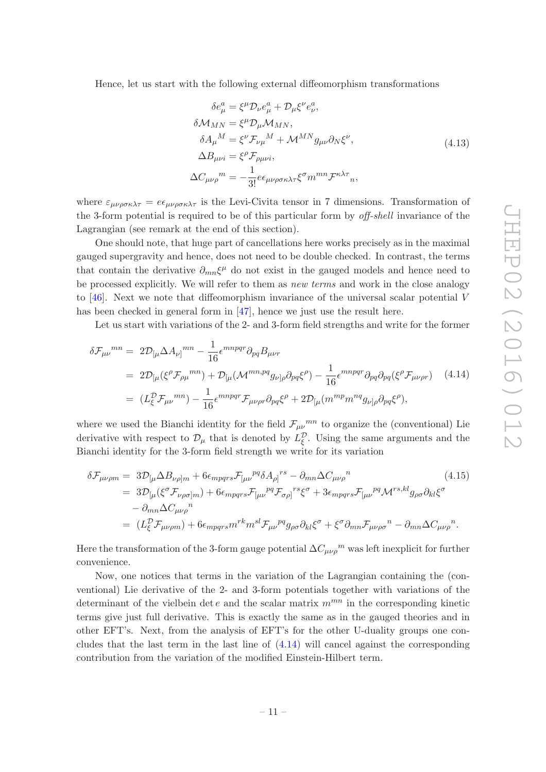Hence, let us start with the following external diffeomorphism transformations

$$
\delta e^a_\mu = \xi^\mu \mathcal{D}_\nu e^a_\mu + \mathcal{D}_\mu \xi^\nu e^a_\nu,
$$
  
\n
$$
\delta \mathcal{M}_{MN} = \xi^\mu \mathcal{D}_\mu \mathcal{M}_{MN},
$$
  
\n
$$
\delta A_\mu{}^M = \xi^\nu \mathcal{F}_{\nu\mu}{}^M + \mathcal{M}^{MN} g_{\mu\nu} \partial_N \xi^\nu,
$$
  
\n
$$
\Delta B_{\mu\nu i} = \xi^\rho \mathcal{F}_{\rho\mu\nu i},
$$
  
\n
$$
\Delta C_{\mu\nu\rho}{}^m = -\frac{1}{3!} e \epsilon_{\mu\nu\rho\sigma\kappa\lambda\tau} \xi^\sigma m^{mn} \mathcal{F}^{\kappa\lambda\tau}{}_n,
$$
\n(4.13)

where  $\varepsilon_{\mu\nu\rho\sigma\kappa\lambda\tau} = e\epsilon_{\mu\nu\rho\sigma\kappa\lambda\tau}$  is the Levi-Civita tensor in 7 dimensions. Transformation of the 3-form potential is required to be of this particular form by off-shell invariance of the Lagrangian (see remark at the end of this section).

One should note, that huge part of cancellations here works precisely as in the maximal gauged supergravity and hence, does not need to be double checked. In contrast, the terms that contain the derivative  $\partial_{mn}\xi^{\mu}$  do not exist in the gauged models and hence need to be processed explicitly. We will refer to them as *new terms* and work in the close analogy to [\[46](#page-24-16)]. Next we note that diffeomorphism invariance of the universal scalar potential  $V$ has been checked in general form in [\[47](#page-24-15)], hence we just use the result here.

Let us start with variations of the 2- and 3-form field strengths and write for the former

<span id="page-11-0"></span>
$$
\delta \mathcal{F}_{\mu\nu}{}^{mn} = 2\mathcal{D}_{\left[\mu\right.} \Delta A_{\nu\right]}{}^{mn} - \frac{1}{16} \epsilon^{mnpqr} \partial_{pq} B_{\mu\nu r}
$$
  
\n
$$
= 2\mathcal{D}_{\left[\mu\right.} (\xi^{\rho} \mathcal{F}_{\rho\mu}{}^{mn}) + \mathcal{D}_{\left[\mu\right.} (\mathcal{M}^{mn,pq} g_{\nu]\rho} \partial_{pq} \xi^{\rho}) - \frac{1}{16} \epsilon^{mnpqr} \partial_{pq} \partial_{pq} (\xi^{\rho} \mathcal{F}_{\mu\nu\rho r}) \quad (4.14)
$$
  
\n
$$
= (L_{\xi}^{D} \mathcal{F}_{\mu\nu}{}^{mn}) - \frac{1}{16} \epsilon^{mnpqr} \mathcal{F}_{\mu\nu\rho r} \partial_{pq} \xi^{\rho} + 2\mathcal{D}_{\left[\mu\right.} (m^{mp} m^{nq} g_{\nu]\rho} \partial_{pq} \xi^{\rho}),
$$

where we used the Bianchi identity for the field  $\mathcal{F}_{\mu\nu}{}^{mn}$  to organize the (conventional) Lie derivative with respect to  $\mathcal{D}_{\mu}$  that is denoted by  $L_{\xi}^{\mathcal{D}}$  $\mathcal{L}_{\xi}^{\mathcal{D}}$ . Using the same arguments and the Bianchi identity for the 3-form field strength we write for its variation

$$
\delta \mathcal{F}_{\mu\nu\rho m} = 3\mathcal{D}_{[\mu}\Delta B_{\nu\rho]m} + 6\epsilon_{mpqrs}\mathcal{F}_{[\mu\nu}{}^{pq}\delta A_{\rho]}{}^{rs} - \partial_{mn}\Delta C_{\mu\nu\rho}{}^{n} \tag{4.15}
$$
\n
$$
= 3\mathcal{D}_{[\mu}(\xi^{\sigma}\mathcal{F}_{\nu\rho\sigma]m}) + 6\epsilon_{mpqrs}\mathcal{F}_{[\mu\nu}{}^{pq}\mathcal{F}_{\sigma\rho]}{}^{rs}\xi^{\sigma} + 3\epsilon_{mpqrs}\mathcal{F}_{[\mu\nu}{}^{pq}\mathcal{M}^{rs,kl}g_{\rho\sigma}\partial_{kl}\xi^{\sigma} - \partial_{mn}\Delta C_{\mu\nu\rho}{}^{n} \tag{4.15}
$$
\n
$$
= (L_{\xi}^{D}\mathcal{F}_{\mu\nu\rho m}) + 6\epsilon_{mpqrs}m^{rk}m^{sl}\mathcal{F}_{\mu\nu}{}^{pq}g_{\rho\sigma}\partial_{kl}\xi^{\sigma} + \xi^{\sigma}\partial_{mn}\mathcal{F}_{\mu\nu\rho\sigma}{}^{n} - \partial_{mn}\Delta C_{\mu\nu\rho}{}^{n}.
$$

Here the transformation of the 3-form gauge potential  $\Delta C_{\mu\nu\rho}{}^m$  was left inexplicit for further convenience.

Now, one notices that terms in the variation of the Lagrangian containing the (conventional) Lie derivative of the 2- and 3-form potentials together with variations of the determinant of the vielbein det e and the scalar matrix  $m^{mn}$  in the corresponding kinetic terms give just full derivative. This is exactly the same as in the gauged theories and in other EFT's. Next, from the analysis of EFT's for the other U-duality groups one concludes that the last term in the last line of [\(4.14\)](#page-11-0) will cancel against the corresponding contribution from the variation of the modified Einstein-Hilbert term.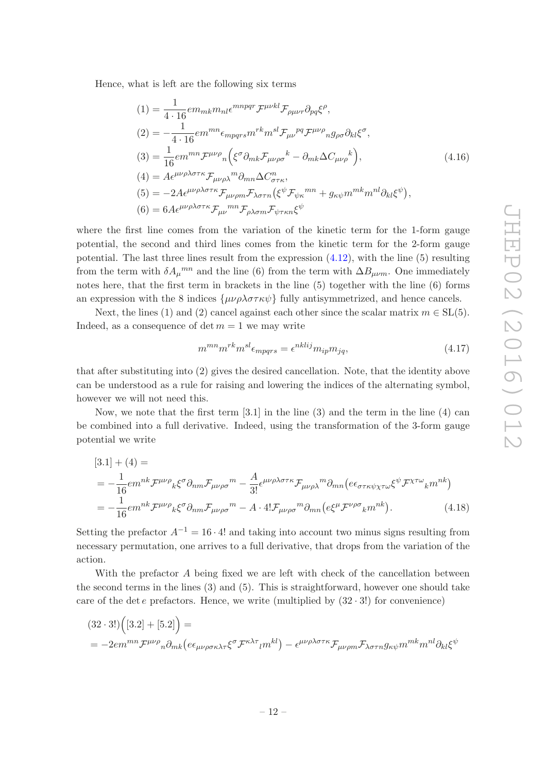Hence, what is left are the following six terms

$$
(1) = \frac{1}{4 \cdot 16} \epsilon m_{mk} m_{nl} \epsilon^{mnpqr} \mathcal{F}^{\mu\nu kl} \mathcal{F}_{\rho\mu\nu r} \partial_{pq} \xi^{\rho},
$$
  
\n
$$
(2) = -\frac{1}{4 \cdot 16} \epsilon m^{mn} \epsilon_{mpqrs} m^{rk} m^{sl} \mathcal{F}_{\mu\nu}{}^{pq} \mathcal{F}^{\mu\nu\rho}{}_{n} g_{\rho\sigma} \partial_{kl} \xi^{\sigma},
$$
  
\n
$$
(3) = \frac{1}{16} \epsilon m^{mn} \mathcal{F}^{\mu\nu\rho}{}_{n} \left( \xi^{\sigma} \partial_{mk} \mathcal{F}_{\mu\nu\rho\sigma}{}^{k} - \partial_{mk} \Delta C_{\mu\nu\rho}{}^{k} \right),
$$
  
\n
$$
(4) = A \epsilon^{\mu\nu\rho\lambda\sigma\tau\kappa} \mathcal{F}_{\mu\nu\rho\lambda}{}^{m} \partial_{mn} \Delta C^{n}_{\sigma\tau\kappa},
$$
  
\n
$$
(5) = -2 A \epsilon^{\mu\nu\rho\lambda\sigma\tau\kappa} \mathcal{F}_{\mu\nu\rho m} \mathcal{F}_{\lambda\sigma\tau n} \left( \xi^{\psi} \mathcal{F}_{\psi\kappa}{}^{mn} + g_{\kappa\psi} m^{mk} m^{nl} \partial_{kl} \xi^{\psi} \right),
$$
  
\n
$$
(6) = 6 A \epsilon^{\mu\nu\rho\lambda\sigma\tau\kappa} \mathcal{F}_{\mu\nu}{}^{mn} \mathcal{F}_{\rho\lambda\sigma m} \mathcal{F}_{\psi\tau\kappa n} \xi^{\psi}
$$

where the first line comes from the variation of the kinetic term for the 1-form gauge potential, the second and third lines comes from the kinetic term for the 2-form gauge potential. The last three lines result from the expression  $(4.12)$ , with the line  $(5)$  resulting from the term with  $\delta A_{\mu}^{mn}$  and the line (6) from the term with  $\Delta B_{\mu\nu m}$ . One immediately notes here, that the first term in brackets in the line (5) together with the line (6) forms an expression with the 8 indices  $\{\mu\nu\rho\lambda\sigma\tau\kappa\psi\}$  fully antisymmetrized, and hence cancels.

Next, the lines (1) and (2) cancel against each other since the scalar matrix  $m \in SL(5)$ . Indeed, as a consequence of det  $m = 1$  we may write

$$
m^{mn}m^{rk}m^{sl}\epsilon_{mpqrs} = \epsilon^{nklij}m_{ip}m_{jq},\tag{4.17}
$$

that after substituting into (2) gives the desired cancellation. Note, that the identity above can be understood as a rule for raising and lowering the indices of the alternating symbol, however we will not need this.

Now, we note that the first term  $[3.1]$  in the line  $(3)$  and the term in the line  $(4)$  can be combined into a full derivative. Indeed, using the transformation of the 3-form gauge potential we write

$$
[3.1] + (4) =
$$
  
=  $-\frac{1}{16} \epsilon m^{nk} \mathcal{F}^{\mu\nu\rho}{}_{k} \xi^{\sigma} \partial_{nm} \mathcal{F}_{\mu\nu\rho\sigma}{}^{m} - \frac{A}{3!} \epsilon^{\mu\nu\rho\lambda\sigma\tau\kappa} \mathcal{F}_{\mu\nu\rho\lambda}{}^{m} \partial_{mn} (e\epsilon_{\sigma\tau\kappa\psi\chi\tau\omega} \xi^{\psi} \mathcal{F}^{\chi\tau\omega}{}_{k} m^{nk})$   
=  $-\frac{1}{16} \epsilon m^{nk} \mathcal{F}^{\mu\nu\rho}{}_{k} \xi^{\sigma} \partial_{nm} \mathcal{F}_{\mu\nu\rho\sigma}{}^{m} - A \cdot 4! \mathcal{F}_{\mu\nu\rho\sigma}{}^{m} \partial_{mn} (e\xi^{\mu} \mathcal{F}^{\nu\rho\sigma}{}_{k} m^{nk}).$  (4.18)

Setting the prefactor  $A^{-1} = 16 \cdot 4!$  and taking into account two minus signs resulting from necessary permutation, one arrives to a full derivative, that drops from the variation of the action.

With the prefactor A being fixed we are left with check of the cancellation between the second terms in the lines (3) and (5). This is straightforward, however one should take care of the det e prefactors. Hence, we write (multiplied by  $(32 \cdot 3!)$  for convenience)

$$
(32 \cdot 3!) \left([3.2] + [5.2]\right) =
$$
  
=  $-2em^{mn} \mathcal{F}^{\mu\nu\rho} n \partial_{mk} (e\epsilon_{\mu\nu\rho\sigma\kappa\lambda\tau} \xi^{\sigma} \mathcal{F}^{\kappa\lambda\tau}{}_{l} m^{kl}) - \epsilon^{\mu\nu\rho\lambda\sigma\tau\kappa} \mathcal{F}_{\mu\nu\rho m} \mathcal{F}_{\lambda\sigma\tau n} g_{\kappa\psi} m^{mk} m^{nl} \partial_{kl} \xi^{\psi}$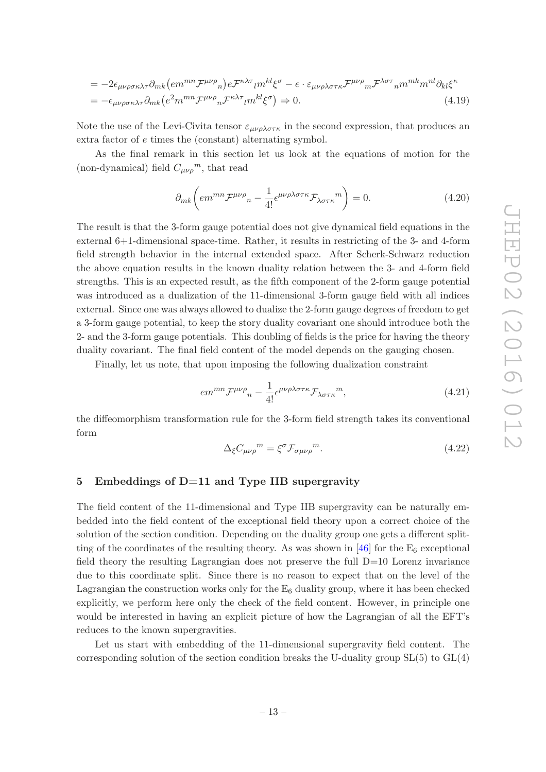$$
= -2\epsilon_{\mu\nu\rho\sigma\kappa\lambda\tau}\partial_{mk}\left(e^{mm}\mathcal{F}^{\mu\nu\rho}_{n}\right)e^{\mathcal{F}^{\kappa\lambda\tau}}{}_{l}m^{kl}\xi^{\sigma} - e \cdot \varepsilon_{\mu\nu\rho\lambda\sigma\tau\kappa}\mathcal{F}^{\mu\nu\rho}_{m}\mathcal{F}^{\lambda\sigma\tau}_{n}{}_{n}m^{mk}m^{nl}\partial_{kl}\xi^{\kappa} = -\epsilon_{\mu\nu\rho\sigma\kappa\lambda\tau}\partial_{mk}\left(e^{2}m^{mn}\mathcal{F}^{\mu\nu\rho}_{n}\mathcal{F}^{\kappa\lambda\tau}_{l}{}_{l}m^{kl}\xi^{\sigma}\right) \Rightarrow 0.
$$
\n(4.19)

Note the use of the Levi-Civita tensor  $\varepsilon_{\mu\nu\rho\lambda\sigma\tau\kappa}$  in the second expression, that produces an extra factor of e times the (constant) alternating symbol.

As the final remark in this section let us look at the equations of motion for the (non-dynamical) field  $C_{\mu\nu\rho}^{\qquad m}$ , that read

$$
\partial_{mk} \left( e m^{mn} \mathcal{F}^{\mu \nu \rho}{}_{n} - \frac{1}{4!} \epsilon^{\mu \nu \rho \lambda \sigma \tau \kappa} \mathcal{F}_{\lambda \sigma \tau \kappa}{}^{m} \right) = 0. \tag{4.20}
$$

The result is that the 3-form gauge potential does not give dynamical field equations in the external 6+1-dimensional space-time. Rather, it results in restricting of the 3- and 4-form field strength behavior in the internal extended space. After Scherk-Schwarz reduction the above equation results in the known duality relation between the 3- and 4-form field strengths. This is an expected result, as the fifth component of the 2-form gauge potential was introduced as a dualization of the 11-dimensional 3-form gauge field with all indices external. Since one was always allowed to dualize the 2-form gauge degrees of freedom to get a 3-form gauge potential, to keep the story duality covariant one should introduce both the 2- and the 3-form gauge potentials. This doubling of fields is the price for having the theory duality covariant. The final field content of the model depends on the gauging chosen.

Finally, let us note, that upon imposing the following dualization constraint

$$
em^{mn} \mathcal{F}^{\mu\nu\rho}{}_{n} - \frac{1}{4!} \epsilon^{\mu\nu\rho\lambda\sigma\tau\kappa} \mathcal{F}_{\lambda\sigma\tau\kappa}{}^{m}, \tag{4.21}
$$

the diffeomorphism transformation rule for the 3-form field strength takes its conventional form

$$
\Delta_{\xi} C_{\mu\nu\rho}{}^{m} = \xi^{\sigma} \mathcal{F}_{\sigma\mu\nu\rho}{}^{m}.
$$
\n(4.22)

#### <span id="page-13-0"></span>5 Embeddings of D=11 and Type IIB supergravity

The field content of the 11-dimensional and Type IIB supergravity can be naturally embedded into the field content of the exceptional field theory upon a correct choice of the solution of the section condition. Depending on the duality group one gets a different splitting of the coordinates of the resulting theory. As was shown in  $[46]$  for the  $E_6$  exceptional field theory the resulting Lagrangian does not preserve the full  $D=10$  Lorenz invariance due to this coordinate split. Since there is no reason to expect that on the level of the Lagrangian the construction works only for the  $E_6$  duality group, where it has been checked explicitly, we perform here only the check of the field content. However, in principle one would be interested in having an explicit picture of how the Lagrangian of all the EFT's reduces to the known supergravities.

Let us start with embedding of the 11-dimensional supergravity field content. The corresponding solution of the section condition breaks the U-duality group  $SL(5)$  to  $GL(4)$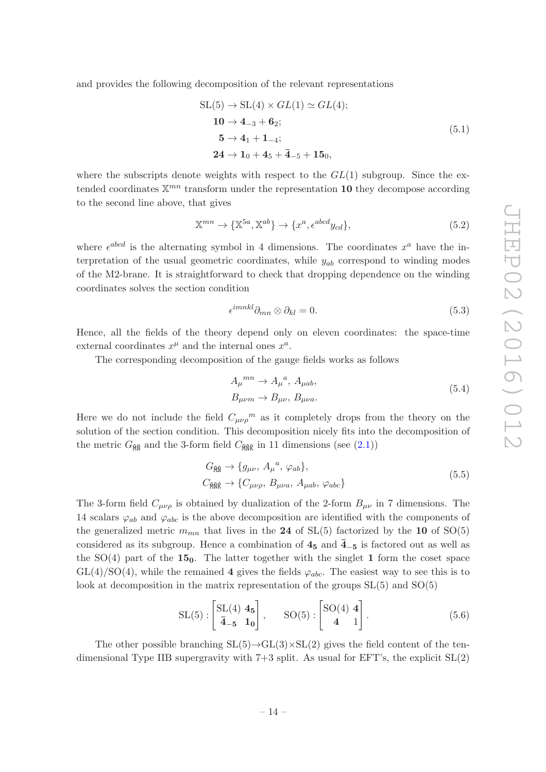and provides the following decomposition of the relevant representations

$$
SL(5) \to SL(4) \times GL(1) \simeq GL(4);
$$
  
\n
$$
10 \to 4_{-3} + 6_2;
$$
  
\n
$$
5 \to 4_1 + 1_{-4};
$$
  
\n
$$
24 \to 1_0 + 4_5 + \bar{4}_{-5} + 15_0,
$$
  
\n(5.1)

where the subscripts denote weights with respect to the  $GL(1)$  subgroup. Since the extended coordinates  $\mathbb{X}^{mn}$  transform under the representation **10** they decompose according to the second line above, that gives

$$
\mathbb{X}^{mn} \to \{\mathbb{X}^{5a}, \mathbb{X}^{ab}\} \to \{x^a, \epsilon^{abcd}y_{cd}\},\tag{5.2}
$$

where  $\epsilon^{abcd}$  is the alternating symbol in 4 dimensions. The coordinates  $x^a$  have the interpretation of the usual geometric coordinates, while  $y_{ab}$  correspond to winding modes of the M2-brane. It is straightforward to check that dropping dependence on the winding coordinates solves the section condition

$$
\epsilon^{imnkl}\partial_{mn}\otimes\partial_{kl}=0.\tag{5.3}
$$

Hence, all the fields of the theory depend only on eleven coordinates: the space-time external coordinates  $x^{\mu}$  and the internal ones  $x^a$ .

The corresponding decomposition of the gauge fields works as follows

$$
A_{\mu}^{mn} \to A_{\mu}^{a}, A_{\mu ab},
$$
  
\n
$$
B_{\mu\nu m} \to B_{\mu\nu}, B_{\mu\nu a}.
$$
\n(5.4)

Here we do not include the field  $C_{\mu\nu\rho}^{\qquad m}$  as it completely drops from the theory on the solution of the section condition. This decomposition nicely fits into the decomposition of the metric  $G_{\hat{M}}$  and the 3-form field  $C_{\hat{M}}$  in 11 dimensions (see [\(2.1\)](#page-3-2))

$$
G_{\hat{\mathbb{MR}}} \to \{g_{\mu\nu}, A_{\mu}{}^{a}, \varphi_{ab}\},
$$
  
\n
$$
C_{\hat{\mathbb{MR}}} \to \{C_{\mu\nu\rho}, B_{\mu\nu a}, A_{\mu ab}, \varphi_{abc}\}
$$
\n(5.5)

The 3-form field  $C_{\mu\nu\rho}$  is obtained by dualization of the 2-form  $B_{\mu\nu}$  in 7 dimensions. The 14 scalars  $\varphi_{ab}$  and  $\varphi_{abc}$  is the above decomposition are identified with the components of the generalized metric  $m_{mn}$  that lives in the 24 of SL(5) factorized by the 10 of SO(5) considered as its subgroup. Hence a combination of  $4_5$  and  $\overline{4}_{-5}$  is factored out as well as the  $SO(4)$  part of the  $15<sub>0</sub>$ . The latter together with the singlet 1 form the coset space  $GL(4)/SO(4)$ , while the remained 4 gives the fields  $\varphi_{abc}$ . The easiest way to see this is to look at decomposition in the matrix representation of the groups SL(5) and SO(5)

$$
SL(5): \begin{bmatrix} SL(4) & 4_5 \ \overline{4}_{-5} & 1_0 \end{bmatrix}, \qquad SO(5): \begin{bmatrix} SO(4) & 4 \ 4 & 1 \end{bmatrix}. \tag{5.6}
$$

The other possible branching  $SL(5) \rightarrow GL(3) \times SL(2)$  gives the field content of the tendimensional Type IIB supergravity with  $7+3$  split. As usual for EFT's, the explicit  $SL(2)$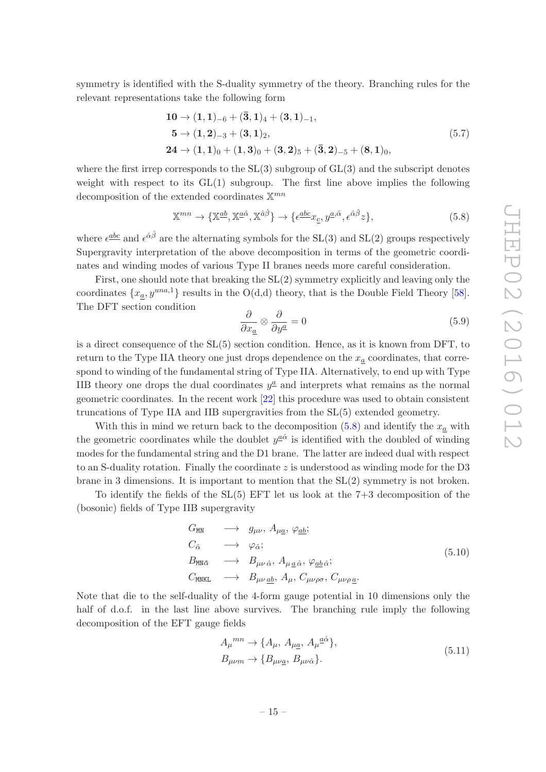symmetry is identified with the S-duality symmetry of the theory. Branching rules for the relevant representations take the following form

$$
10 \rightarrow (1, 1)_{-6} + (\bar{3}, 1)_4 + (3, 1)_{-1},
$$
  
\n
$$
5 \rightarrow (1, 2)_{-3} + (3, 1)_2,
$$
  
\n
$$
24 \rightarrow (1, 1)_0 + (1, 3)_0 + (3, 2)_5 + (\bar{3}, 2)_{-5} + (8, 1)_0,
$$
  
\n(5.7)

where the first irrep corresponds to the  $SL(3)$  subgroup of  $GL(3)$  and the subscript denotes weight with respect to its  $GL(1)$  subgroup. The first line above implies the following decomposition of the extended coordinates  $\mathbb{X}^{mn}$ 

<span id="page-15-0"></span>
$$
\mathbb{X}^{mn} \to \{ \mathbb{X}^{\underline{a}\underline{b}}, \mathbb{X}^{\underline{a}\hat{\alpha}}, \mathbb{X}^{\hat{a}\hat{\beta}} \} \to \{ \epsilon^{\underline{a}b\underline{c}} x_{\underline{c}}, y^{\underline{a},\hat{\alpha}}, \epsilon^{\hat{\alpha}\hat{\beta}} z \},\tag{5.8}
$$

where  $\epsilon^{\underline{a}b\underline{c}}$  and  $\epsilon^{\hat{\alpha}\hat{\beta}}$  are the alternating symbols for the SL(3) and SL(2) groups respectively Supergravity interpretation of the above decomposition in terms of the geometric coordinates and winding modes of various Type II branes needs more careful consideration.

First, one should note that breaking the SL(2) symmetry explicitly and leaving only the coordinates  $\{x_a, y^{una,1}\}$  results in the O(d,d) theory, that is the Double Field Theory [\[58\]](#page-25-1). The DFT section condition

$$
\frac{\partial}{\partial x_{\underline{a}}} \otimes \frac{\partial}{\partial y^{\underline{a}}} = 0 \tag{5.9}
$$

is a direct consequence of the SL(5) section condition. Hence, as it is known from DFT, to return to the Type IIA theory one just drops dependence on the  $x_a$  coordinates, that correspond to winding of the fundamental string of Type IIA. Alternatively, to end up with Type IIB theory one drops the dual coordinates  $y^{\underline{a}}$  and interprets what remains as the normal geometric coordinates. In the recent work [\[22](#page-23-12)] this procedure was used to obtain consistent truncations of Type IIA and IIB supergravities from the SL(5) extended geometry.

With this in mind we return back to the decomposition  $(5.8)$  and identify the  $x_a$  with the geometric coordinates while the doublet  $y^{\underline{a}\hat{\alpha}}$  is identified with the doubled of winding modes for the fundamental string and the D1 brane. The latter are indeed dual with respect to an S-duality rotation. Finally the coordinate z is understood as winding mode for the D3 brane in 3 dimensions. It is important to mention that the SL(2) symmetry is not broken.

To identify the fields of the  $SL(5)$  EFT let us look at the  $7+3$  decomposition of the (bosonic) fields of Type IIB supergravity

<span id="page-15-1"></span>
$$
G_{\text{MN}} \longrightarrow g_{\mu\nu}, A_{\mu\underline{a}}, \varphi_{\underline{a}\underline{b}};
$$
\n
$$
C_{\hat{\alpha}} \longrightarrow \varphi_{\hat{\alpha}};
$$
\n
$$
B_{\text{MN}\hat{\alpha}} \longrightarrow B_{\mu\nu \hat{\alpha}}, A_{\mu \underline{a} \hat{\alpha}}, \varphi_{\underline{a}\underline{b} \hat{\alpha}};
$$
\n
$$
C_{\text{MNKL}} \longrightarrow B_{\mu\nu \underline{a}\underline{b}}, A_{\mu}, C_{\mu\nu\rho\sigma}, C_{\mu\nu\rho \underline{a}}.
$$
\n
$$
(5.10)
$$

Note that die to the self-duality of the 4-form gauge potential in 10 dimensions only the half of d.o.f. in the last line above survives. The branching rule imply the following decomposition of the EFT gauge fields

$$
A_{\mu}^{mn} \rightarrow \{A_{\mu}, A_{\mu\underline{a}}, A_{\mu}^{\underline{a}\hat{\alpha}}\},
$$
  
\n
$$
B_{\mu\nu m} \rightarrow \{B_{\mu\nu\underline{a}}, B_{\mu\nu\hat{\alpha}}\}.
$$
\n(5.11)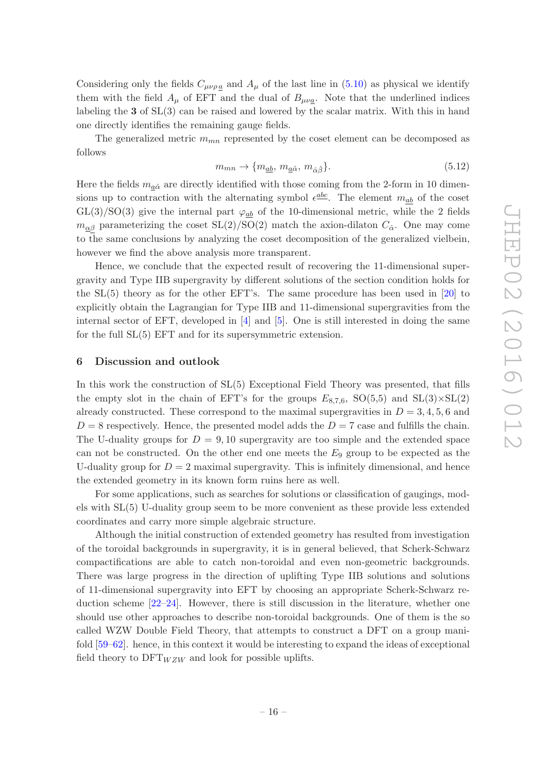Considering only the fields  $C_{\mu\nu\rho\alpha}$  and  $A_{\mu}$  of the last line in [\(5.10\)](#page-15-1) as physical we identify them with the field  $A_{\mu}$  of EFT and the dual of  $B_{\mu\nu a}$ . Note that the underlined indices labeling the  $3$  of  $SL(3)$  can be raised and lowered by the scalar matrix. With this in hand one directly identifies the remaining gauge fields.

The generalized metric  $m_{mn}$  represented by the coset element can be decomposed as follows

$$
m_{mn} \to \{m_{\underline{ab}}, m_{\underline{a}\hat{\alpha}}, m_{\hat{\alpha}\hat{\beta}}\}.
$$
\n(5.12)

Here the fields  $m_{a\hat{\alpha}}$  are directly identified with those coming from the 2-form in 10 dimensions up to contraction with the alternating symbol  $\epsilon^{\underline{abc}}$ . The element  $m_{\underline{ab}}$  of the coset  $GL(3)/SO(3)$  give the internal part  $\varphi_{ab}$  of the 10-dimensional metric, while the 2 fields  $m_{\alpha\beta}$  parameterizing the coset  $SL(2)/SO(2)$  match the axion-dilaton  $C_{\hat{\alpha}}$ . One may come to the same conclusions by analyzing the coset decomposition of the generalized vielbein, however we find the above analysis more transparent.

Hence, we conclude that the expected result of recovering the 11-dimensional supergravity and Type IIB supergravity by different solutions of the section condition holds for the SL(5) theory as for the other EFT's. The same procedure has been used in [\[20\]](#page-23-13) to explicitly obtain the Lagrangian for Type IIB and 11-dimensional supergravities from the internal sector of EFT, developed in [\[4\]](#page-22-8) and [\[5\]](#page-22-7). One is still interested in doing the same for the full SL(5) EFT and for its supersymmetric extension.

### <span id="page-16-0"></span>6 Discussion and outlook

In this work the construction of SL(5) Exceptional Field Theory was presented, that fills the empty slot in the chain of EFT's for the groups  $E_{8.7,6}$ , SO(5,5) and SL(3)×SL(2) already constructed. These correspond to the maximal supergravities in  $D = 3, 4, 5, 6$  and  $D = 8$  respectively. Hence, the presented model adds the  $D = 7$  case and fulfills the chain. The U-duality groups for  $D = 9,10$  supergravity are too simple and the extended space can not be constructed. On the other end one meets the  $E_9$  group to be expected as the U-duality group for  $D = 2$  maximal supergravity. This is infinitely dimensional, and hence the extended geometry in its known form ruins here as well.

For some applications, such as searches for solutions or classification of gaugings, models with SL(5) U-duality group seem to be more convenient as these provide less extended coordinates and carry more simple algebraic structure.

Although the initial construction of extended geometry has resulted from investigation of the toroidal backgrounds in supergravity, it is in general believed, that Scherk-Schwarz compactifications are able to catch non-toroidal and even non-geometric backgrounds. There was large progress in the direction of uplifting Type IIB solutions and solutions of 11-dimensional supergravity into EFT by choosing an appropriate Scherk-Schwarz reduction scheme  $[22-24]$ . However, there is still discussion in the literature, whether one should use other approaches to describe non-toroidal backgrounds. One of them is the so called WZW Double Field Theory, that attempts to construct a DFT on a group manifold [\[59](#page-25-2)[–62](#page-25-3)]. hence, in this context it would be interesting to expand the ideas of exceptional field theory to  $DFT_{WZW}$  and look for possible uplifts.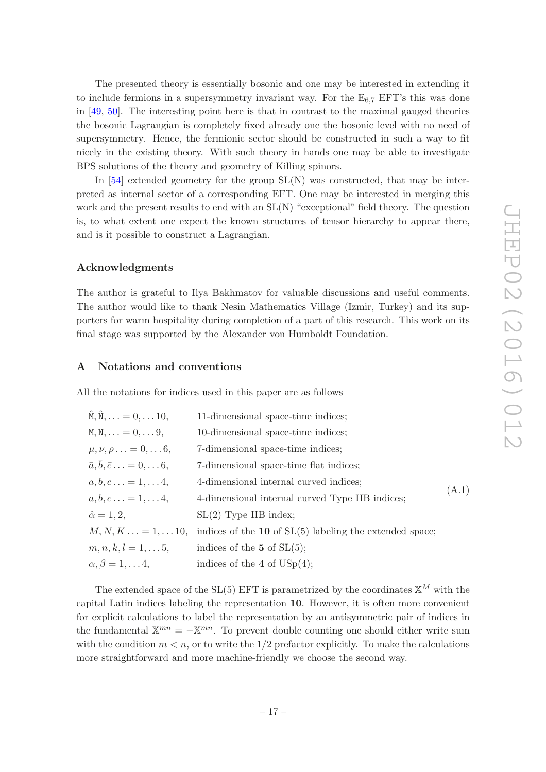The presented theory is essentially bosonic and one may be interested in extending it to include fermions in a supersymmetry invariant way. For the  $E_{6.7}$  EFT's this was done in [\[49](#page-24-8), [50](#page-24-17)]. The interesting point here is that in contrast to the maximal gauged theories the bosonic Lagrangian is completely fixed already one the bosonic level with no need of supersymmetry. Hence, the fermionic sector should be constructed in such a way to fit nicely in the existing theory. With such theory in hands one may be able to investigate BPS solutions of the theory and geometry of Killing spinors.

In  $[54]$  extended geometry for the group  $SL(N)$  was constructed, that may be interpreted as internal sector of a corresponding EFT. One may be interested in merging this work and the present results to end with an  $SL(N)$  "exceptional" field theory. The question is, to what extent one expect the known structures of tensor hierarchy to appear there, and is it possible to construct a Lagrangian.

## Acknowledgments

The author is grateful to Ilya Bakhmatov for valuable discussions and useful comments. The author would like to thank Nesin Mathematics Village (Izmir, Turkey) and its supporters for warm hospitality during completion of a part of this research. This work on its final stage was supported by the Alexander von Humboldt Foundation.

# <span id="page-17-0"></span>A Notations and conventions

All the notations for indices used in this paper are as follows

| $\hat{M}, \hat{N}, \ldots = 0, \ldots 10,$                       | 11-dimensional space-time indices;                          |       |
|------------------------------------------------------------------|-------------------------------------------------------------|-------|
| $M, N,  = 0,  9,$                                                | 10-dimensional space-time indices;                          |       |
| $\mu, \nu, \rho \ldots = 0, \ldots 6,$                           | 7-dimensional space-time indices;                           |       |
| $\overline{a}, \overline{b}, \overline{c} \ldots = 0, \ldots 6,$ | 7-dimensional space-time flat indices;                      |       |
| $a, b, c \ldots = 1, \ldots 4,$                                  | 4-dimensional internal curved indices;                      | (A.1) |
| $a, b, c \ldots = 1, \ldots 4,$                                  | 4-dimensional internal curved Type IIB indices;             |       |
| $\hat{\alpha} = 1, 2,$                                           | $SL(2)$ Type IIB index;                                     |       |
| $M, N, K = 1, 10,$                                               | indices of the $10$ of $SL(5)$ labeling the extended space; |       |
| $m, n, k, l = 1, \ldots 5,$                                      | indices of the $5$ of $SL(5)$ ;                             |       |
| $\alpha, \beta = 1, \ldots 4,$                                   | indices of the 4 of $USp(4)$ ;                              |       |

The extended space of the SL(5) EFT is parametrized by the coordinates  $\mathbb{X}^M$  with the capital Latin indices labeling the representation 10. However, it is often more convenient for explicit calculations to label the representation by an antisymmetric pair of indices in the fundamental  $\mathbb{X}^{mn} = -\mathbb{X}^{mn}$ . To prevent double counting one should either write sum with the condition  $m < n$ , or to write the 1/2 prefactor explicitly. To make the calculations more straightforward and more machine-friendly we choose the second way.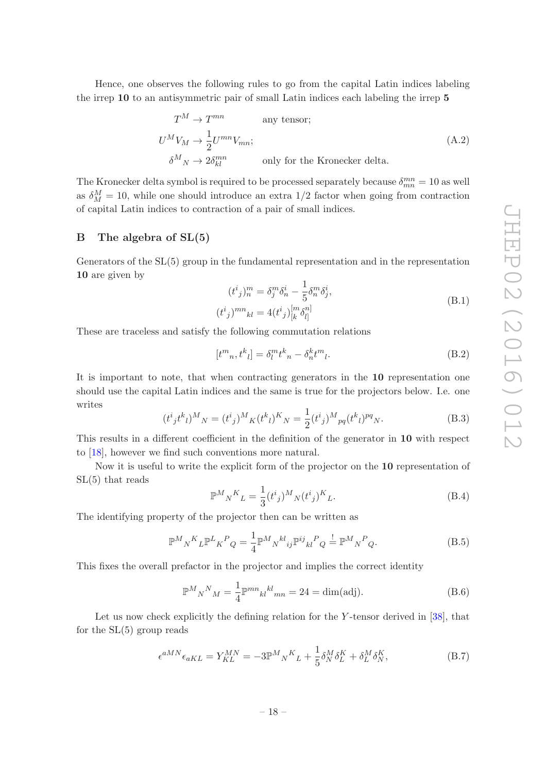Hence, one observes the following rules to go from the capital Latin indices labeling the irrep 10 to an antisymmetric pair of small Latin indices each labeling the irrep 5

$$
T^{M} \to T^{mn} \qquad \text{any tensor};
$$
  
\n
$$
U^{M}V_{M} \to \frac{1}{2}U^{mn}V_{mn};
$$
  
\n
$$
\delta^{M}{}_{N} \to 2\delta^{mn}_{kl} \qquad \text{only for the Kronecker delta.}
$$
\n(A.2)

The Kronecker delta symbol is required to be processed separately because  $\delta_{mn}^{mn} = 10$  as well as  $\delta_M^M = 10$ , while one should introduce an extra 1/2 factor when going from contraction of capital Latin indices to contraction of a pair of small indices.

## <span id="page-18-0"></span>B The algebra of SL(5)

Generators of the SL(5) group in the fundamental representation and in the representation 10 are given by

$$
(t^{i}_{j})_{n}^{m} = \delta_{j}^{m} \delta_{n}^{i} - \frac{1}{5} \delta_{n}^{m} \delta_{j}^{i},
$$
  

$$
(t^{i}_{j})^{mn}_{kl} = 4(t^{i}_{j})_{[k}^{[m} \delta_{l]}^{n]}
$$
 (B.1)

These are traceless and satisfy the following commutation relations

$$
[t^m{}_n, t^k{}_l] = \delta_l^m t^k{}_n - \delta_n^k t^m{}_l. \tag{B.2}
$$

It is important to note, that when contracting generators in the 10 representation one should use the capital Latin indices and the same is true for the projectors below. I.e. one writes

$$
(t^{i}_{j}t^{k}_{l})^{M}{}_{N} = (t^{i}_{j})^{M}{}_{K}(t^{k}_{l})^{K}{}_{N} = \frac{1}{2}(t^{i}_{j})^{M}{}_{pq}(t^{k}_{l})^{pq}{}_{N}.
$$
 (B.3)

This results in a different coefficient in the definition of the generator in 10 with respect to [\[18\]](#page-23-11), however we find such conventions more natural.

Now it is useful to write the explicit form of the projector on the 10 representation of SL(5) that reads

$$
\mathbb{P}^{M}{}_{N}{}^{K}{}_{L} = \frac{1}{3} (t^{i}{}_{j})^{M}{}_{N} (t^{i}{}_{j})^{K}{}_{L}. \tag{B.4}
$$

The identifying property of the projector then can be written as

$$
\mathbb{P}^M{}_N{}^K{}_L \mathbb{P}^L{}_K{}^P{}_Q = \frac{1}{4} \mathbb{P}^M{}_N{}^{kl}{}_{ij} \mathbb{P}^{ij}{}_{kl}{}^P{}_Q \stackrel{!}{=} \mathbb{P}^M{}_N{}^P{}_Q. \tag{B.5}
$$

This fixes the overall prefactor in the projector and implies the correct identity

$$
\mathbb{P}^M{}_N{}^N{}_M = \frac{1}{4} \mathbb{P}^{mn}{}_{kl}{}^{kl}{}_{mn} = 24 = \dim(\text{adj}).\tag{B.6}
$$

Let us now check explicitly the defining relation for the Y-tensor derived in [\[38](#page-24-1)], that for the  $SL(5)$  group reads

$$
\epsilon^{aMN}\epsilon_{aKL} = Y_{KL}^{MN} = -3\mathbb{P}^M{}_N{}^K{}_L + \frac{1}{5}\delta^M{}_N\delta^K_L + \delta^M_L\delta^K_N,\tag{B.7}
$$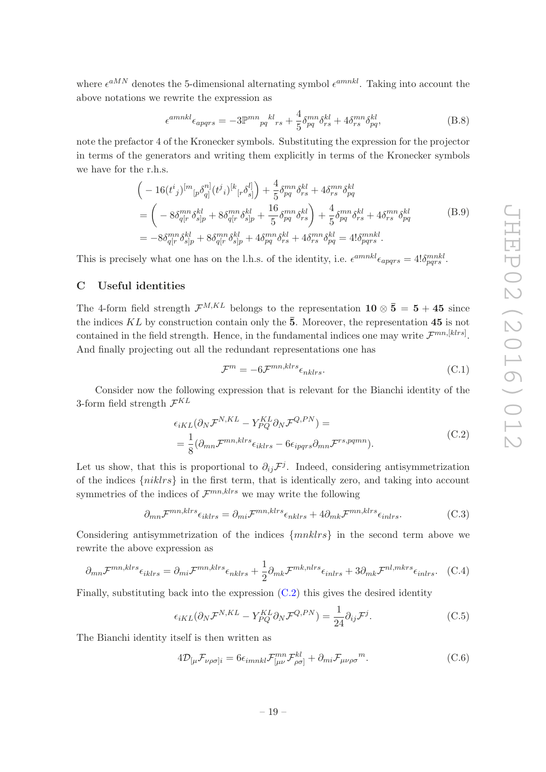where  $\epsilon^{aMN}$  denotes the 5-dimensional alternating symbol  $\epsilon^{amnkl}$ . Taking into account the above notations we rewrite the expression as

$$
\epsilon^{amnkl}\epsilon_{apqrs} = -3\mathbb{P}^{mn}_{pq}{}^{kl}_{rs} + \frac{4}{5}\delta^{mn}_{pq}\delta^{kl}_{rs} + 4\delta^{mn}_{rs}\delta^{kl}_{pq},\tag{B.8}
$$

note the prefactor 4 of the Kronecker symbols. Substituting the expression for the projector in terms of the generators and writing them explicitly in terms of the Kronecker symbols we have for the r.h.s.

$$
\begin{split}\n&\left(-16(t^i{}_j)^{[m}{}_{[p}\delta^{n]}_{q]}(t^j{}_i)^{[k}{}_{[r}\delta^{l]}_{s]}\right) + \frac{4}{5}\delta^{mn}_{pq}\delta^{kl}_{rs} + 4\delta^{mn}_{rs}\delta^{kl}_{pq} \\
&= \left(-8\delta^{mn}_{q[r}\delta^{kl}_{s]p} + 8\delta^{mn}_{q[r}\delta^{kl}_{s]p} + \frac{16}{5}\delta^{mn}_{pq}\delta^{kl}_{rs}\right) + \frac{4}{5}\delta^{mn}_{pq}\delta^{kl}_{rs} + 4\delta^{mn}_{rs}\delta^{kl}_{pq} \\
&= -8\delta^{mn}_{q[r}\delta^{kl}_{s]p} + 8\delta^{mn}_{q[r}\delta^{kl}_{s]p} + 4\delta^{mn}_{pq}\delta^{kl}_{rs} + 4\delta^{mn}_{rs}\delta^{kl}_{pq} = 4!\delta^{mnkl}_{pqrs}.\n\end{split} \tag{B.9}
$$

This is precisely what one has on the l.h.s. of the identity, i.e.  $\epsilon^{amnkl}\epsilon_{apqrs} = 4! \delta_{pqrs}^{mnkl}$ .

# <span id="page-19-0"></span>C Useful identities

The 4-form field strength  $\mathcal{F}^{M,KL}$  belongs to the representation  $\mathbf{10} \otimes \mathbf{5} = \mathbf{5} + \mathbf{45}$  since the indices KL by construction contain only the  $\bar{5}$ . Moreover, the representation 45 is not contained in the field strength. Hence, in the fundamental indices one may write  $\mathcal{F}^{mn,[klrs]}$ . And finally projecting out all the redundant representations one has

$$
\mathcal{F}^m = -6\mathcal{F}^{mn,klrs}\epsilon_{nklrs}.\tag{C.1}
$$

Consider now the following expression that is relevant for the Bianchi identity of the 3-form field strength  $\mathcal{F}^{KL}$ 

<span id="page-19-2"></span>
$$
\epsilon_{iKL}(\partial_N \mathcal{F}^{N,KL} - Y_{PQ}^{KL} \partial_N \mathcal{F}^{Q,PN}) =
$$
\n
$$
= \frac{1}{8} (\partial_{mn} \mathcal{F}^{mn,klrs} \epsilon_{iklrs} - 6\epsilon_{ipqrs} \partial_{mn} \mathcal{F}^{rs,pqmn}).
$$
\n(C.2)

Let us show, that this is proportional to  $\partial_{ij} \mathcal{F}^j$ . Indeed, considering antisymmetrization of the indices  $\{niklrs\}$  in the first term, that is identically zero, and taking into account symmetries of the indices of  $\mathcal{F}^{mn,klrs}$  we may write the following

$$
\partial_{mn} \mathcal{F}^{mn,klrs} \epsilon_{iklrs} = \partial_{mi} \mathcal{F}^{mn,klrs} \epsilon_{nklrs} + 4 \partial_{mk} \mathcal{F}^{mn,klrs} \epsilon_{inlrs}.
$$
 (C.3)

Considering antisymmetrization of the indices  $\{mnklrs\}$  in the second term above we rewrite the above expression as

$$
\partial_{mn} \mathcal{F}^{mn,klrs} \epsilon_{iklrs} = \partial_{mi} \mathcal{F}^{mn,klrs} \epsilon_{nklrs} + \frac{1}{2} \partial_{mk} \mathcal{F}^{mk,nlrs} \epsilon_{inlrs} + 3 \partial_{mk} \mathcal{F}^{nl,mkrs} \epsilon_{inlrs}.
$$
 (C.4)

Finally, substituting back into the expression  $(C.2)$  this gives the desired identity

<span id="page-19-1"></span>
$$
\epsilon_{iKL}(\partial_N \mathcal{F}^{N,KL} - Y_{PQ}^{KL} \partial_N \mathcal{F}^{Q,PN}) = \frac{1}{24} \partial_{ij} \mathcal{F}^j.
$$
 (C.5)

The Bianchi identity itself is then written as

$$
4\mathcal{D}_{\left[\mu\mathcal{F}_{\nu\rho\sigma\right]i} = 6\epsilon_{imnkl}\mathcal{F}_{\left[\mu\nu\right.}^{mn}\mathcal{F}_{\rho\sigma\right]}^{kl} + \partial_{mi}\mathcal{F}_{\mu\nu\rho\sigma}^{m}.
$$
 (C.6)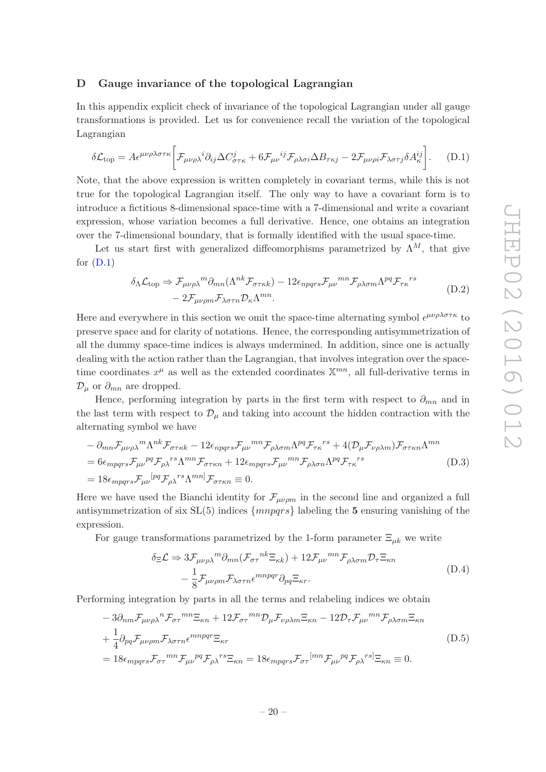### <span id="page-20-0"></span>D Gauge invariance of the topological Lagrangian

In this appendix explicit check of invariance of the topological Lagrangian under all gauge transformations is provided. Let us for convenience recall the variation of the topological Lagrangian

<span id="page-20-1"></span>
$$
\delta \mathcal{L}_{\text{top}} = A \epsilon^{\mu \nu \rho \lambda \sigma \tau \kappa} \bigg[ \mathcal{F}_{\mu \nu \rho \lambda}{}^{i} \partial_{ij} \Delta C^{j}_{\sigma \tau \kappa} + 6 \mathcal{F}_{\mu \nu}{}^{ij} \mathcal{F}_{\rho \lambda \sigma i} \Delta B_{\tau \kappa j} - 2 \mathcal{F}_{\mu \nu \rho i} \mathcal{F}_{\lambda \sigma \tau j} \delta A^{ij}_{\kappa} \bigg]. \tag{D.1}
$$

Note, that the above expression is written completely in covariant terms, while this is not true for the topological Lagrangian itself. The only way to have a covariant form is to introduce a fictitious 8-dimensional space-time with a 7-dimensional and write a covariant expression, whose variation becomes a full derivative. Hence, one obtains an integration over the 7-dimensional boundary, that is formally identified with the usual space-time.

Let us start first with generalized diffeomorphisms parametrized by  $\Lambda^M$ , that give for  $(D.1)$ 

$$
\delta_{\Lambda} \mathcal{L}_{\text{top}} \Rightarrow \mathcal{F}_{\mu\nu\rho\lambda}{}^{m} \partial_{mn} (\Lambda^{nk} \mathcal{F}_{\sigma\tau\kappa k}) - 12 \epsilon_{npqrs} \mathcal{F}_{\mu\nu}{}^{mn} \mathcal{F}_{\rho\lambda\sigma m} \Lambda^{pq} \mathcal{F}_{\tau\kappa}{}^{rs} - 2 \mathcal{F}_{\mu\nu\rho m} \mathcal{F}_{\lambda\sigma\tau n} \mathcal{D}_{\kappa} \Lambda^{mn}.
$$
\n(D.2)

Here and everywhere in this section we omit the space-time alternating symbol  $\epsilon^{\mu\nu\rho\lambda\sigma\tau\kappa}$  to preserve space and for clarity of notations. Hence, the corresponding antisymmetrization of all the dummy space-time indices is always undermined. In addition, since one is actually dealing with the action rather than the Lagrangian, that involves integration over the spacetime coordinates  $x^{\mu}$  as well as the extended coordinates  $\mathbb{X}^{mn}$ , all full-derivative terms in  $\mathcal{D}_{\mu}$  or  $\partial_{mn}$  are dropped.

Hence, performing integration by parts in the first term with respect to  $\partial_{mn}$  and in the last term with respect to  $\mathcal{D}_{\mu}$  and taking into account the hidden contraction with the alternating symbol we have

$$
- \partial_{mn} \mathcal{F}_{\mu\nu\rho\lambda}{}^{m} \Lambda^{nk} \mathcal{F}_{\sigma\tau\kappa k} - 12 \epsilon_{npqrs} \mathcal{F}_{\mu\nu}{}^{mn} \mathcal{F}_{\rho\lambda\sigma m} \Lambda^{pq} \mathcal{F}_{\tau\kappa}{}^{rs} + 4(\mathcal{D}_{\mu} \mathcal{F}_{\nu\rho\lambda m}) \mathcal{F}_{\sigma\tau\kappa n} \Lambda^{mn}
$$
  
=  $6 \epsilon_{mpqrs} \mathcal{F}_{\mu\nu}{}^{pq} \mathcal{F}_{\rho\lambda}{}^{rs} \Lambda^{mn} \mathcal{F}_{\sigma\tau\kappa n} + 12 \epsilon_{mpqrs} \mathcal{F}_{\mu\nu}{}^{mn} \mathcal{F}_{\rho\lambda\sigma n} \Lambda^{pq} \mathcal{F}_{\tau\kappa}{}^{rs}$  (D.3)  
=  $18 \epsilon_{mpqrs} \mathcal{F}_{\mu\nu}{}^{[pq} \mathcal{F}_{\rho\lambda}{}^{rs} \Lambda^{mn} \mathcal{F}_{\sigma\tau\kappa n} \equiv 0.$ 

Here we have used the Bianchi identity for  $\mathcal{F}_{\mu\nu\rho m}$  in the second line and organized a full antisymmetrization of six  $SL(5)$  indices  $\{mnpqrs\}$  labeling the 5 ensuring vanishing of the expression.

For gauge transformations parametrized by the 1-form parameter  $\Xi_{\mu k}$  we write

$$
\delta_{\Xi} \mathcal{L} \Rightarrow 3 \mathcal{F}_{\mu\nu\rho\lambda}{}^{m} \partial_{mn} (\mathcal{F}_{\sigma\tau}{}^{nk} \Xi_{\kappa k}) + 12 \mathcal{F}_{\mu\nu}{}^{mn} \mathcal{F}_{\rho\lambda\sigma m} \mathcal{D}_{\tau} \Xi_{\kappa n} \n- \frac{1}{8} \mathcal{F}_{\mu\nu\rho m} \mathcal{F}_{\lambda\sigma\tau n} \epsilon^{mnpqr} \partial_{pq} \Xi_{\kappa r}.
$$
\n(D.4)

Performing integration by parts in all the terms and relabeling indices we obtain

$$
-3\partial_{nm}\mathcal{F}_{\mu\nu\rho\lambda}{}^{n}\mathcal{F}_{\sigma\tau}{}^{mn}\Xi_{\kappa n} + 12\mathcal{F}_{\sigma\tau}{}^{mn}\mathcal{D}_{\mu}\mathcal{F}_{\nu\rho\lambda m}\Xi_{\kappa n} - 12\mathcal{D}_{\tau}\mathcal{F}_{\mu\nu}{}^{mn}\mathcal{F}_{\rho\lambda\sigma m}\Xi_{\kappa n}
$$
  
+
$$
\frac{1}{4}\partial_{pq}\mathcal{F}_{\mu\nu\rho m}\mathcal{F}_{\lambda\sigma\tau n}\epsilon^{mnpqr}\Xi_{\kappa r}
$$

$$
= 18\epsilon_{mpqrs}\mathcal{F}_{\sigma\tau}{}^{mn}\mathcal{F}_{\mu\nu}{}^{pq}\mathcal{F}_{\rho\lambda}{}^{rs}\Xi_{\kappa n} = 18\epsilon_{mpqrs}\mathcal{F}_{\sigma\tau}{}^{[mn}\mathcal{F}_{\mu\nu}{}^{pq}\mathcal{F}_{\rho\lambda}{}^{rs} \Xi_{\kappa n} \equiv 0.
$$
 (D.5)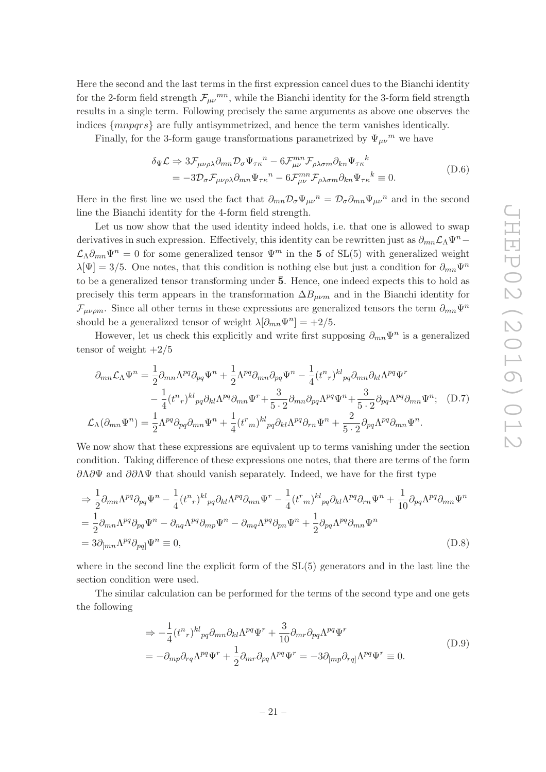Here the second and the last terms in the first expression cancel dues to the Bianchi identity for the 2-form field strength  $\mathcal{F}_{\mu\nu}{}^{mn}$ , while the Bianchi identity for the 3-form field strength results in a single term. Following precisely the same arguments as above one observes the indices {mnpqrs} are fully antisymmetrized, and hence the term vanishes identically.

Finally, for the 3-form gauge transformations parametrized by  $\Psi_{\mu\nu}{}^m$  we have

$$
\delta_{\Psi} \mathcal{L} \Rightarrow 3 \mathcal{F}_{\mu\nu\rho\lambda} \partial_{mn} \mathcal{D}_{\sigma} \Psi_{\tau\kappa}{}^{n} - 6 \mathcal{F}_{\mu\nu}^{mn} \mathcal{F}_{\rho\lambda\sigma m} \partial_{kn} \Psi_{\tau\kappa}{}^{k}
$$
  
= 
$$
-3 \mathcal{D}_{\sigma} \mathcal{F}_{\mu\nu\rho\lambda} \partial_{mn} \Psi_{\tau\kappa}{}^{n} - 6 \mathcal{F}_{\mu\nu}^{mn} \mathcal{F}_{\rho\lambda\sigma m} \partial_{kn} \Psi_{\tau\kappa}{}^{k} \equiv 0.
$$
 (D.6)

Here in the first line we used the fact that  $\partial_{mn} \mathcal{D}_{\sigma} \Psi_{\mu\nu}{}^n = \mathcal{D}_{\sigma} \partial_{mn} \Psi_{\mu\nu}{}^n$  and in the second line the Bianchi identity for the 4-form field strength.

Let us now show that the used identity indeed holds, i.e. that one is allowed to swap derivatives in such expression. Effectively, this identity can be rewritten just as  $\partial_{mn}\mathcal{L}_\Lambda\Psi^n$  –  $\mathcal{L}_{\Lambda}\partial_{mn}\Psi^n=0$  for some generalized tensor  $\Psi^m$  in the 5 of SL(5) with generalized weight  $\lambda[\Psi] = 3/5$ . One notes, that this condition is nothing else but just a condition for  $\partial_{mn}\Psi^n$ to be a generalized tensor transforming under  $\bar{5}$ . Hence, one indeed expects this to hold as precisely this term appears in the transformation  $\Delta B_{\mu\nu m}$  and in the Bianchi identity for  $\mathcal{F}_{\mu\nu\rho m}$ . Since all other terms in these expressions are generalized tensors the term  $\partial_{mn}\Psi^n$ should be a generalized tensor of weight  $\lambda[\partial_{mn}\Psi^n] = +2/5$ .

However, let us check this explicitly and write first supposing  $\partial_{mn}\Psi^n$  is a generalized tensor of weight  $+2/5$ 

$$
\partial_{mn} \mathcal{L}_{\Lambda} \Psi^{n} = \frac{1}{2} \partial_{mn} \Lambda^{pq} \partial_{pq} \Psi^{n} + \frac{1}{2} \Lambda^{pq} \partial_{mn} \partial_{pq} \Psi^{n} - \frac{1}{4} (t^{n}{}_{r})^{kl}{}_{pq} \partial_{mn} \partial_{kl} \Lambda^{pq} \Psi^{r}
$$

$$
- \frac{1}{4} (t^{n}{}_{r})^{kl}{}_{pq} \partial_{kl} \Lambda^{pq} \partial_{mn} \Psi^{r} + \frac{3}{5 \cdot 2} \partial_{mn} \partial_{pq} \Lambda^{pq} \Psi^{n} + \frac{3}{5 \cdot 2} \partial_{pq} \Lambda^{pq} \partial_{mn} \Psi^{n}; \quad (D.7)
$$

$$
\mathcal{L}_{\Lambda} (\partial_{mn} \Psi^{n}) = \frac{1}{2} \Lambda^{pq} \partial_{pq} \partial_{mn} \Psi^{n} + \frac{1}{4} (t^{r}{}_{m})^{kl}{}_{pq} \partial_{kl} \Lambda^{pq} \partial_{rn} \Psi^{n} + \frac{2}{5 \cdot 2} \partial_{pq} \Lambda^{pq} \partial_{mn} \Psi^{n}.
$$

We now show that these expressions are equivalent up to terms vanishing under the section condition. Taking difference of these expressions one notes, that there are terms of the form  $\partial Λ\partial Ψ\Psi$  and  $\partial θ\Lambda\Psi$  that should vanish separately. Indeed, we have for the first type

$$
\Rightarrow \frac{1}{2} \partial_{mn} \Lambda^{pq} \partial_{pq} \Psi^n - \frac{1}{4} (t^n r)^{kl}{}_{pq} \partial_{kl} \Lambda^{pq} \partial_{mn} \Psi^r - \frac{1}{4} (t^r m)^{kl}{}_{pq} \partial_{kl} \Lambda^{pq} \partial_{rn} \Psi^n + \frac{1}{10} \partial_{pq} \Lambda^{pq} \partial_{mn} \Psi^n
$$
  

$$
= \frac{1}{2} \partial_{mn} \Lambda^{pq} \partial_{pq} \Psi^n - \partial_{nq} \Lambda^{pq} \partial_{mp} \Psi^n - \partial_{mq} \Lambda^{pq} \partial_{pn} \Psi^n + \frac{1}{2} \partial_{pq} \Lambda^{pq} \partial_{mn} \Psi^n
$$
  

$$
= 3 \partial_{[mn} \Lambda^{pq} \partial_{pq]} \Psi^n \equiv 0,
$$
 (D.8)

where in the second line the explicit form of the SL(5) generators and in the last line the section condition were used.

The similar calculation can be performed for the terms of the second type and one gets the following

$$
\Rightarrow -\frac{1}{4} (t^n r)^{kl}{}_{pq} \partial_{mn} \partial_{kl} \Lambda^{pq} \Psi^r + \frac{3}{10} \partial_{mr} \partial_{pq} \Lambda^{pq} \Psi^r
$$
\n
$$
= -\partial_{mp} \partial_{rq} \Lambda^{pq} \Psi^r + \frac{1}{2} \partial_{mr} \partial_{pq} \Lambda^{pq} \Psi^r = -3 \partial_{[mp} \partial_{rq]} \Lambda^{pq} \Psi^r \equiv 0.
$$
\n(D.9)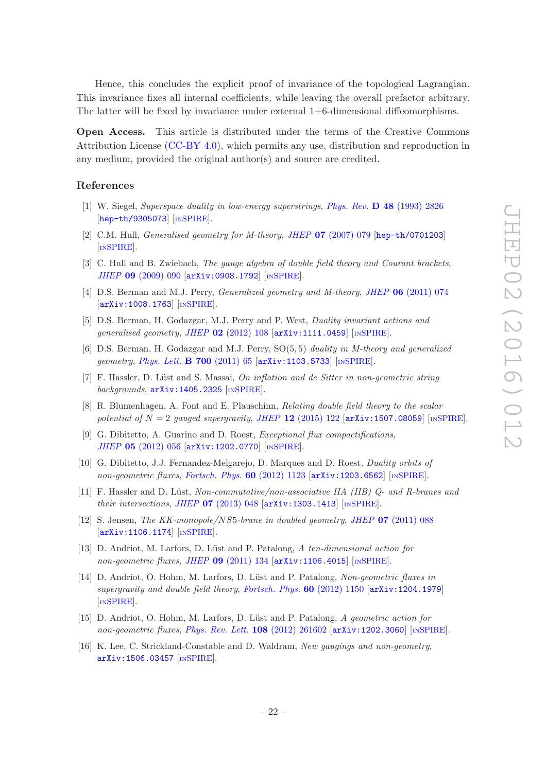Hence, this concludes the explicit proof of invariance of the topological Lagrangian. This invariance fixes all internal coefficients, while leaving the overall prefactor arbitrary. The latter will be fixed by invariance under external 1+6-dimensional diffeomorphisms.

Open Access. This article is distributed under the terms of the Creative Commons Attribution License [\(CC-BY 4.0\)](http://creativecommons.org/licenses/by/4.0/), which permits any use, distribution and reproduction in any medium, provided the original author(s) and source are credited.

# References

- <span id="page-22-0"></span>[1] W. Siegel, Superspace duality in low-energy superstrings, Phys. Rev. D 48 [\(1993\) 2826](http://dx.doi.org/10.1103/PhysRevD.48.2826) [[hep-th/9305073](http://arxiv.org/abs/hep-th/9305073)] [IN[SPIRE](http://inspirehep.net/search?p=find+EPRINT+hep-th/9305073)].
- <span id="page-22-6"></span>[2] C.M. Hull, Generalised geometry for M-theory, JHEP 07 [\(2007\) 079](http://dx.doi.org/10.1088/1126-6708/2007/07/079) [[hep-th/0701203](http://arxiv.org/abs/hep-th/0701203)] [IN[SPIRE](http://inspirehep.net/search?p=find+EPRINT+hep-th/0701203)].
- [3] C. Hull and B. Zwiebach, The gauge algebra of double field theory and Courant brackets, JHEP 09 [\(2009\) 090](http://dx.doi.org/10.1088/1126-6708/2009/09/090) [[arXiv:0908.1792](http://arxiv.org/abs/0908.1792)] [IN[SPIRE](http://inspirehep.net/search?p=find+EPRINT+arXiv:0908.1792)].
- <span id="page-22-8"></span>[4] D.S. Berman and M.J. Perry, *Generalized geometry and M-theory, JHEP* **06** [\(2011\) 074](http://dx.doi.org/10.1007/JHEP06(2011)074) [[arXiv:1008.1763](http://arxiv.org/abs/1008.1763)] [IN[SPIRE](http://inspirehep.net/search?p=find+EPRINT+arXiv:1008.1763)].
- <span id="page-22-7"></span>[5] D.S. Berman, H. Godazgar, M.J. Perry and P. West, Duality invariant actions and generalised geometry, JHEP  $02$  [\(2012\) 108](http://dx.doi.org/10.1007/JHEP02(2012)108)  $\text{arXiv:1111.0459}$  $\text{arXiv:1111.0459}$  $\text{arXiv:1111.0459}$  [IN[SPIRE](http://inspirehep.net/search?p=find+EPRINT+arXiv:1111.0459)].
- <span id="page-22-1"></span>[6] D.S. Berman, H. Godazgar and M.J. Perry, SO(5, 5) duality in M-theory and generalized geometry, [Phys. Lett.](http://dx.doi.org/10.1016/j.physletb.2011.04.046) **B 700** (2011) 65 [[arXiv:1103.5733](http://arxiv.org/abs/1103.5733)] [IN[SPIRE](http://inspirehep.net/search?p=find+EPRINT+arXiv:1103.5733)].
- <span id="page-22-2"></span>[7] F. Hassler, D. Lüst and S. Massai, On inflation and de Sitter in non-geometric string backgrounds,  $arXiv:1405.2325$  [IN[SPIRE](http://inspirehep.net/search?p=find+EPRINT+arXiv:1405.2325)].
- <span id="page-22-3"></span>[8] R. Blumenhagen, A. Font and E. Plauschinn, Relating double field theory to the scalar potential of  $N = 2$  gauged supergravity, JHEP 12 [\(2015\) 122](http://dx.doi.org/10.1007/JHEP12(2015)122)  $\left[$ [arXiv:1507.08059](http://arxiv.org/abs/1507.08059) $\right]$  [IN[SPIRE](http://inspirehep.net/search?p=find+EPRINT+arXiv:1507.08059)].
- <span id="page-22-4"></span>[9] G. Dibitetto, A. Guarino and D. Roest, Exceptional flux compactifications, JHEP 05 [\(2012\) 056](http://dx.doi.org/10.1007/JHEP05(2012)056) [[arXiv:1202.0770](http://arxiv.org/abs/1202.0770)] [IN[SPIRE](http://inspirehep.net/search?p=find+EPRINT+arXiv:1202.0770)].
- [10] G. Dibitetto, J.J. Fernandez-Melgarejo, D. Marques and D. Roest, Duality orbits of non-geometric fluxes, [Fortsch. Phys.](http://dx.doi.org/10.1002/prop.201200078)  $60$  (2012) 1123 [[arXiv:1203.6562](http://arxiv.org/abs/1203.6562)] [IN[SPIRE](http://inspirehep.net/search?p=find+EPRINT+arXiv:1203.6562)].
- [11] F. Hassler and D. Lüst, Non-commutative/non-associative IIA (IIB)  $O$  and R-branes and their intersections, JHEP  $07$  [\(2013\) 048](http://dx.doi.org/10.1007/JHEP07(2013)048)  $\text{arXiv:1303.1413}$  $\text{arXiv:1303.1413}$  $\text{arXiv:1303.1413}$  [IN[SPIRE](http://inspirehep.net/search?p=find+EPRINT+arXiv:1303.1413)].
- [12] S. Jensen, The KK-monopole/NS5-brane in doubled geometry, JHEP 07 [\(2011\) 088](http://dx.doi.org/10.1007/JHEP07(2011)088) [[arXiv:1106.1174](http://arxiv.org/abs/1106.1174)] [IN[SPIRE](http://inspirehep.net/search?p=find+EPRINT+arXiv:1106.1174)].
- [13] D. Andriot, M. Larfors, D. Lüst and P. Patalong, A ten-dimensional action for non-geometric fluxes, JHEP  $09$  [\(2011\) 134](http://dx.doi.org/10.1007/JHEP09(2011)134)  $\text{arXiv:1106.4015}$  $\text{arXiv:1106.4015}$  $\text{arXiv:1106.4015}$  [IN[SPIRE](http://inspirehep.net/search?p=find+EPRINT+arXiv:1106.4015)].
- [14] D. Andriot, O. Hohm, M. Larfors, D. Lüst and P. Patalong, Non-geometric fluxes in supergravity and double field theory, [Fortsch. Phys.](http://dx.doi.org/10.1002/prop.201200085) 60 (2012) 1150  $\arxi$  1379. [IN[SPIRE](http://inspirehep.net/search?p=find+EPRINT+arXiv:1204.1979)].
- [15] D. Andriot, O. Hohm, M. Larfors, D. Lüst and P. Patalong, A geometric action for non-geometric fluxes, [Phys. Rev. Lett.](http://dx.doi.org/10.1103/PhysRevLett.108.261602) 108 (2012) 261602 [arXiv: 1202.3060] [IN[SPIRE](http://inspirehep.net/search?p=find+EPRINT+arXiv:1202.3060)].
- <span id="page-22-5"></span>[16] K. Lee, C. Strickland-Constable and D. Waldram, New gaugings and non-geometry, [arXiv:1506.03457](http://arxiv.org/abs/1506.03457) [IN[SPIRE](http://inspirehep.net/search?p=find+EPRINT+arXiv:1506.03457)].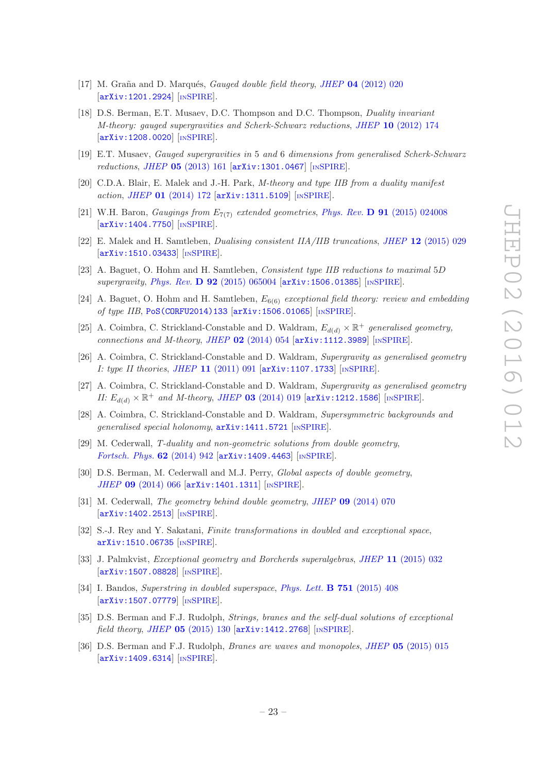- <span id="page-23-0"></span>[17] M. Graña and D. Marqués, *Gauged double field theory, JHEP*  $04$  [\(2012\) 020](http://dx.doi.org/10.1007/JHEP04(2012)020) [[arXiv:1201.2924](http://arxiv.org/abs/1201.2924)] [IN[SPIRE](http://inspirehep.net/search?p=find+EPRINT+arXiv:1201.2924)].
- <span id="page-23-11"></span>[18] D.S. Berman, E.T. Musaev, D.C. Thompson and D.C. Thompson, Duality invariant M-theory: gauged supergravities and Scherk-Schwarz reductions, JHEP 10 [\(2012\) 174](http://dx.doi.org/10.1007/JHEP10(2012)174) [[arXiv:1208.0020](http://arxiv.org/abs/1208.0020)] [IN[SPIRE](http://inspirehep.net/search?p=find+EPRINT+arXiv:1208.0020)].
- <span id="page-23-9"></span>[19] E.T. Musaev, Gauged supergravities in 5 and 6 dimensions from generalised Scherk-Schwarz reductions, JHEP 05 [\(2013\) 161](http://dx.doi.org/10.1007/JHEP05(2013)161) [[arXiv:1301.0467](http://arxiv.org/abs/1301.0467)] [IN[SPIRE](http://inspirehep.net/search?p=find+EPRINT+arXiv:1301.0467)].
- <span id="page-23-13"></span>[20] C.D.A. Blair, E. Malek and J.-H. Park, M-theory and type IIB from a duality manifest action, JHEP 01 [\(2014\) 172](http://dx.doi.org/10.1007/JHEP01(2014)172) [[arXiv:1311.5109](http://arxiv.org/abs/1311.5109)] [IN[SPIRE](http://inspirehep.net/search?p=find+EPRINT+arXiv:1311.5109)].
- <span id="page-23-10"></span>[21] W.H. Baron, *Gaugings from*  $E_{7(7)}$  *extended geometries, Phys. Rev.* **D 91** [\(2015\) 024008](http://dx.doi.org/10.1103/PhysRevD.91.024008) [[arXiv:1404.7750](http://arxiv.org/abs/1404.7750)] [IN[SPIRE](http://inspirehep.net/search?p=find+EPRINT+arXiv:1404.7750)].
- <span id="page-23-12"></span>[22] E. Malek and H. Samtleben, Dualising consistent IIA/IIB truncations, JHEP 12 [\(2015\) 029](http://dx.doi.org/10.1007/JHEP12(2015)029) [[arXiv:1510.03433](http://arxiv.org/abs/1510.03433)] [IN[SPIRE](http://inspirehep.net/search?p=find+EPRINT+arXiv:1510.03433)].
- [23] A. Baguet, O. Hohm and H. Samtleben, Consistent type IIB reductions to maximal 5D supergravity, Phys. Rev. D  $92$  [\(2015\) 065004](http://dx.doi.org/10.1103/PhysRevD.92.065004) [[arXiv:1506.01385](http://arxiv.org/abs/1506.01385)] [IN[SPIRE](http://inspirehep.net/search?p=find+J+"Phys.Rev.,D92,065004")].
- <span id="page-23-1"></span>[24] A. Baguet, O. Hohm and H. Samtleben,  $E_{6(6)}$  exceptional field theory: review and embedding of type IIB, [PoS\(CORFU2014\)133](http://pos.sissa.it/cgi-bin/reader/contribution.cgi?id=PoS(CORFU2014)133) [[arXiv:1506.01065](http://arxiv.org/abs/1506.01065)] [IN[SPIRE](http://inspirehep.net/search?p=find+EPRINT+arXiv:1506.01065)].
- <span id="page-23-2"></span>[25] A. Coimbra, C. Strickland-Constable and D. Waldram,  $E_{d(d)} \times \mathbb{R}^+$  generalised geometry, connections and M-theory, JHEP  $02$  [\(2014\) 054](http://dx.doi.org/10.1007/JHEP02(2014)054)  $\text{arXiv:1112.3989}$  $\text{arXiv:1112.3989}$  $\text{arXiv:1112.3989}$  [IN[SPIRE](http://inspirehep.net/search?p=find+EPRINT+arXiv:1112.3989)].
- [26] A. Coimbra, C. Strickland-Constable and D. Waldram, Supergravity as generalised geometry I: type II theories, JHEP 11 [\(2011\) 091](http://dx.doi.org/10.1007/JHEP11(2011)091)  $arXiv:1107.1733$  [IN[SPIRE](http://inspirehep.net/search?p=find+EPRINT+arXiv:1107.1733)].
- [27] A. Coimbra, C. Strickland-Constable and D. Waldram, Supergravity as generalised geometry II:  $E_{d(d)} \times \mathbb{R}^+$  and M-theory, JHEP 03 [\(2014\) 019](http://dx.doi.org/10.1007/JHEP03(2014)019) [[arXiv:1212.1586](http://arxiv.org/abs/1212.1586)] [IN[SPIRE](http://inspirehep.net/search?p=find+EPRINT+arXiv:1212.1586)].
- [28] A. Coimbra, C. Strickland-Constable and D. Waldram, Supersymmetric backgrounds and generalised special holonomy, [arXiv:1411.5721](http://arxiv.org/abs/1411.5721) [IN[SPIRE](http://inspirehep.net/search?p=find+EPRINT+arXiv:1411.5721)].
- <span id="page-23-3"></span>[29] M. Cederwall, T-duality and non-geometric solutions from double geometry, [Fortsch. Phys.](http://dx.doi.org/10.1002/prop.201400069) 62 (2014) 942 [[arXiv:1409.4463](http://arxiv.org/abs/1409.4463)] [IN[SPIRE](http://inspirehep.net/search?p=find+EPRINT+arXiv:1409.4463)].
- <span id="page-23-4"></span>[30] D.S. Berman, M. Cederwall and M.J. Perry, *Global aspects of double geometry*, JHEP 09 [\(2014\) 066](http://dx.doi.org/10.1007/JHEP09(2014)066) [[arXiv:1401.1311](http://arxiv.org/abs/1401.1311)] [IN[SPIRE](http://inspirehep.net/search?p=find+EPRINT+arXiv:1401.1311)].
- [31] M. Cederwall, The geometry behind double geometry, JHEP 09 [\(2014\) 070](http://dx.doi.org/10.1007/JHEP09(2014)070)  $\vert$ [arXiv:1402.2513](http://arxiv.org/abs/1402.2513) $\vert$  [IN[SPIRE](http://inspirehep.net/search?p=find+EPRINT+arXiv:1402.2513)].
- <span id="page-23-5"></span>[32] S.-J. Rey and Y. Sakatani, Finite transformations in doubled and exceptional space, [arXiv:1510.06735](http://arxiv.org/abs/1510.06735) [IN[SPIRE](http://inspirehep.net/search?p=find+EPRINT+arXiv:1510.06735)].
- <span id="page-23-6"></span>[33] J. Palmkvist, *Exceptional geometry and Borcherds superalgebras*, *JHEP* 11 [\(2015\) 032](http://dx.doi.org/10.1007/JHEP11(2015)032) [[arXiv:1507.08828](http://arxiv.org/abs/1507.08828)] [IN[SPIRE](http://inspirehep.net/search?p=find+EPRINT+arXiv:1507.08828)].
- <span id="page-23-7"></span>[34] I. Bandos, Superstring in doubled superspace, [Phys. Lett.](http://dx.doi.org/10.1016/j.physletb.2015.10.081) **B** 751 (2015) 408 [[arXiv:1507.07779](http://arxiv.org/abs/1507.07779)] [IN[SPIRE](http://inspirehep.net/search?p=find+EPRINT+arXiv:1507.07779)].
- <span id="page-23-8"></span>[35] D.S. Berman and F.J. Rudolph, Strings, branes and the self-dual solutions of exceptional field theory, JHEP  $05$  [\(2015\) 130](http://dx.doi.org/10.1007/JHEP05(2015)130)  $\text{arXiv:1412.2768}$  $\text{arXiv:1412.2768}$  $\text{arXiv:1412.2768}$  [IN[SPIRE](http://inspirehep.net/search?p=find+EPRINT+arXiv:1412.2768)].
- [36] D.S. Berman and F.J. Rudolph, Branes are waves and monopoles, JHEP 05 [\(2015\) 015](http://dx.doi.org/10.1007/JHEP05(2015)015) [[arXiv:1409.6314](http://arxiv.org/abs/1409.6314)] [IN[SPIRE](http://inspirehep.net/search?p=find+EPRINT+arXiv:1409.6314)].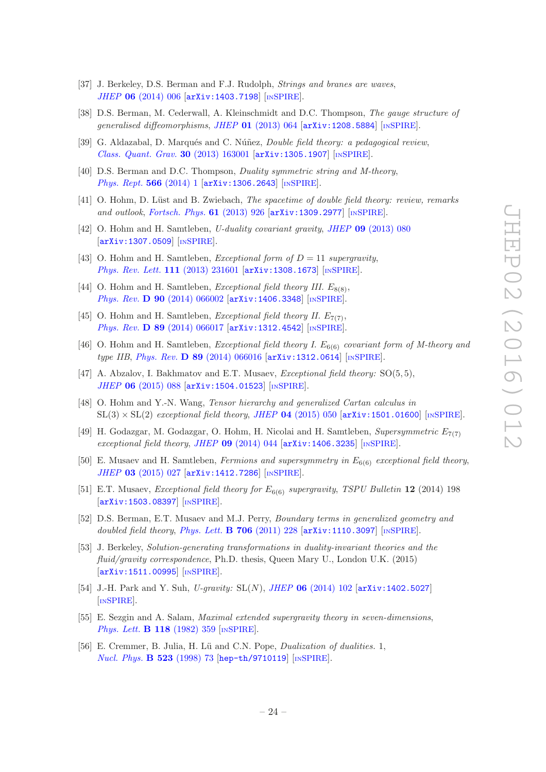- <span id="page-24-0"></span>[37] J. Berkeley, D.S. Berman and F.J. Rudolph, *Strings and branes are waves*. JHEP 06 [\(2014\) 006](http://dx.doi.org/10.1007/JHEP06(2014)006) [[arXiv:1403.7198](http://arxiv.org/abs/1403.7198)] [IN[SPIRE](http://inspirehep.net/search?p=find+EPRINT+arXiv:1403.7198)].
- <span id="page-24-1"></span>[38] D.S. Berman, M. Cederwall, A. Kleinschmidt and D.C. Thompson, The gauge structure of generalised diffeomorphisms, JHEP  $01$  [\(2013\) 064](http://dx.doi.org/10.1007/JHEP01(2013)064) [[arXiv:1208.5884](http://arxiv.org/abs/1208.5884)] [IN[SPIRE](http://inspirehep.net/search?p=find+EPRINT+arXiv:1208.5884)].
- <span id="page-24-2"></span>[39] G. Aldazabal, D. Marqués and C. Núñez, *Double field theory: a pedagogical review*, [Class. Quant. Grav.](http://dx.doi.org/10.1088/0264-9381/30/16/163001) 30 (2013) 163001 [[arXiv:1305.1907](http://arxiv.org/abs/1305.1907)] [IN[SPIRE](http://inspirehep.net/search?p=find+EPRINT+arXiv:1305.1907)].
- [40] D.S. Berman and D.C. Thompson, *Duality symmetric string and M-theory*, [Phys. Rept.](http://dx.doi.org/10.1016/j.physrep.2014.11.007) 566 (2014) 1 [[arXiv:1306.2643](http://arxiv.org/abs/1306.2643)] [IN[SPIRE](http://inspirehep.net/search?p=find+EPRINT+arXiv:1306.2643)].
- <span id="page-24-3"></span>[41] O. Hohm, D. Lüst and B. Zwiebach, *The spacetime of double field theory: review, remarks* and outlook, [Fortsch. Phys.](http://dx.doi.org/10.1002/prop.201300024) 61 (2013) 926 [[arXiv:1309.2977](http://arxiv.org/abs/1309.2977)] [IN[SPIRE](http://inspirehep.net/search?p=find+EPRINT+arXiv:1309.2977)].
- <span id="page-24-4"></span>[42] O. Hohm and H. Samtleben, U-duality covariant gravity, JHEP 09 [\(2013\) 080](http://dx.doi.org/10.1007/JHEP09(2013)080) [[arXiv:1307.0509](http://arxiv.org/abs/1307.0509)] [IN[SPIRE](http://inspirehep.net/search?p=find+EPRINT+arXiv:1307.0509)].
- <span id="page-24-5"></span>[43] O. Hohm and H. Samtleben, *Exceptional form of*  $D = 11$  *supergravity*, [Phys. Rev. Lett.](http://dx.doi.org/10.1103/PhysRevLett.111.231601) 111 (2013) 231601 [[arXiv:1308.1673](http://arxiv.org/abs/1308.1673)] [IN[SPIRE](http://inspirehep.net/search?p=find+EPRINT+arXiv:1308.1673)].
- <span id="page-24-6"></span>[44] O. Hohm and H. Samtleben, *Exceptional field theory III.*  $E_{8(8)}$ , Phys. Rev. D 90 [\(2014\) 066002](http://dx.doi.org/10.1103/PhysRevD.90.066002) [[arXiv:1406.3348](http://arxiv.org/abs/1406.3348)] [IN[SPIRE](http://inspirehep.net/search?p=find+EPRINT+arXiv:1406.3348)].
- [45] O. Hohm and H. Samtleben, *Exceptional field theory II.*  $E_{7(7)}$ , Phys. Rev. D 89 [\(2014\) 066017](http://dx.doi.org/10.1103/PhysRevD.89.066017) [[arXiv:1312.4542](http://arxiv.org/abs/1312.4542)] [IN[SPIRE](http://inspirehep.net/search?p=find+EPRINT+arXiv:1312.4542)].
- <span id="page-24-16"></span>[46] O. Hohm and H. Samtleben, *Exceptional field theory I. E*<sub>6(6)</sub> covariant form of M-theory and type IIB, Phys. Rev. D 89 [\(2014\) 066016](http://dx.doi.org/10.1103/PhysRevD.89.066016) [[arXiv:1312.0614](http://arxiv.org/abs/1312.0614)] [IN[SPIRE](http://inspirehep.net/search?p=find+EPRINT+arXiv:1312.0614)].
- <span id="page-24-15"></span>[47] A. Abzalov, I. Bakhmatov and E.T. Musaev, *Exceptional field theory:* SO(5,5), JHEP 06 [\(2015\) 088](http://dx.doi.org/10.1007/JHEP06(2015)088) [[arXiv:1504.01523](http://arxiv.org/abs/1504.01523)] [IN[SPIRE](http://inspirehep.net/search?p=find+EPRINT+arXiv:1504.01523)].
- <span id="page-24-7"></span>[48] O. Hohm and Y.-N. Wang, Tensor hierarchy and generalized Cartan calculus in  $SL(3) \times SL(2)$  exceptional field theory, JHEP 04 [\(2015\) 050](http://dx.doi.org/10.1007/JHEP04(2015)050) [[arXiv:1501.01600](http://arxiv.org/abs/1501.01600)] [IN[SPIRE](http://inspirehep.net/search?p=find+EPRINT+arXiv:1501.01600)].
- <span id="page-24-8"></span>[49] H. Godazgar, M. Godazgar, O. Hohm, H. Nicolai and H. Samtleben, Supersymmetric  $E_{7(7)}$ exceptional field theory, JHEP  $09$  [\(2014\) 044](http://dx.doi.org/10.1007/JHEP09(2014)044)  $[arXiv:1406.3235]$  $[arXiv:1406.3235]$  $[arXiv:1406.3235]$  [IN[SPIRE](http://inspirehep.net/search?p=find+EPRINT+arXiv:1406.3235)].
- <span id="page-24-17"></span>[50] E. Musaev and H. Samtleben, Fermions and supersymmetry in  $E_{6(6)}$  exceptional field theory, JHEP 03 [\(2015\) 027](http://dx.doi.org/10.1007/JHEP03(2015)027) [[arXiv:1412.7286](http://arxiv.org/abs/1412.7286)] [IN[SPIRE](http://inspirehep.net/search?p=find+EPRINT+arXiv:1412.7286)].
- <span id="page-24-9"></span>[51] E.T. Musaev, Exceptional field theory for  $E_{6(6)}$  supergravity, TSPU Bulletin 12 (2014) 198 [[arXiv:1503.08397](http://arxiv.org/abs/1503.08397)] [IN[SPIRE](http://inspirehep.net/search?p=find+EPRINT+arXiv:1503.08397)].
- <span id="page-24-10"></span>[52] D.S. Berman, E.T. Musaev and M.J. Perry, Boundary terms in generalized geometry and doubled field theory, [Phys. Lett.](http://dx.doi.org/10.1016/j.physletb.2011.11.019) **B** 706 (2011) 228  $\left[$ [arXiv:1110.3097](http://arxiv.org/abs/1110.3097) $\right]$  [IN[SPIRE](http://inspirehep.net/search?p=find+EPRINT+arXiv:1110.3097)].
- <span id="page-24-11"></span>[53] J. Berkeley, Solution-generating transformations in duality-invariant theories and the fluid/gravity correspondence, Ph.D. thesis, Queen Mary U., London U.K. (2015) [[arXiv:1511.00995](http://arxiv.org/abs/1511.00995)] [IN[SPIRE](http://inspirehep.net/search?p=find+EPRINT+arXiv:1511.00995)].
- <span id="page-24-12"></span>[54] J.-H. Park and Y. Suh, *U-gravity:* SL(N), *JHEP* **06** [\(2014\) 102](http://dx.doi.org/10.1007/JHEP06(2014)102) [[arXiv:1402.5027](http://arxiv.org/abs/1402.5027)] [IN[SPIRE](http://inspirehep.net/search?p=find+EPRINT+arXiv:1402.5027)].
- <span id="page-24-13"></span>[55] E. Sezgin and A. Salam, Maximal extended supergravity theory in seven-dimensions, [Phys. Lett.](http://dx.doi.org/10.1016/0370-2693(82)90204-0) **B 118** (1982) 359 [IN[SPIRE](http://inspirehep.net/search?p=find+J+"Phys.Lett.,B118,359")].
- <span id="page-24-14"></span>[56] E. Cremmer, B. Julia, H. Lü and C.N. Pope, *Dualization of dualities.* 1, [Nucl. Phys.](http://dx.doi.org/10.1016/S0550-3213(98)00136-9) **B 523** (1998) 73 [[hep-th/9710119](http://arxiv.org/abs/hep-th/9710119)] [IN[SPIRE](http://inspirehep.net/search?p=find+EPRINT+hep-th/9710119)].